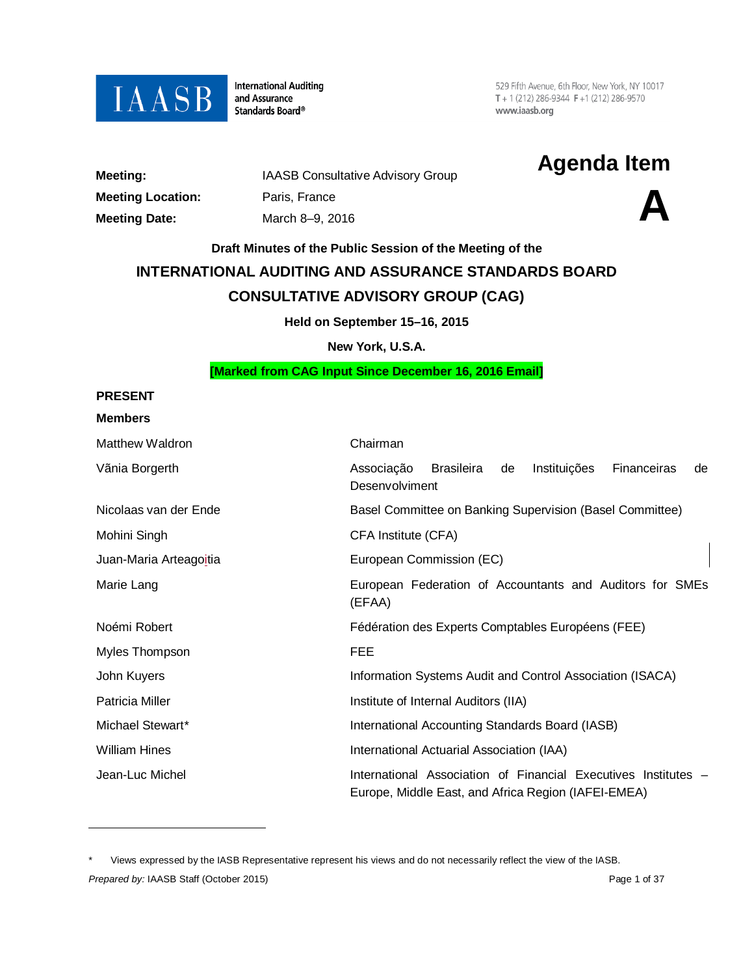

**International Auditing** and Assurance Standards Board®

529 Fifth Avenue, 6th Floor, New York, NY 10017  $T + 1(212) 286 - 9344$  F + 1 (212) 286-9570 www.iaasb.org

| Meeting:                |
|-------------------------|
| <b>Meeting Location</b> |
| <b>Meeting Date:</b>    |

**Meeting Location:**<br> **A Meeting Date:**<br> **A March 8–9, 2016 Meeting Date:** March 8–9, 2016

**Meeting:** IAASB Consultative Advisory Group **Agenda Item**

# **Draft Minutes of the Public Session of the Meeting of the**

# **INTERNATIONAL AUDITING AND ASSURANCE STANDARDS BOARD CONSULTATIVE ADVISORY GROUP (CAG)**

**Held on September 15–16, 2015**

**New York, U.S.A.**

#### **[Marked from CAG Input Since December 16, 2016 Email]**

# **PRESENT Members**

 $\overline{a}$ 

| Matthew Waldron        | Chairman                                                                                                              |
|------------------------|-----------------------------------------------------------------------------------------------------------------------|
| Vãnia Borgerth         | Associação<br><b>Brasileira</b><br>Instituições<br>Financeiras<br>de<br>de<br>Desenvolviment                          |
| Nicolaas van der Ende  | Basel Committee on Banking Supervision (Basel Committee)                                                              |
| Mohini Singh           | CFA Institute (CFA)                                                                                                   |
| Juan-Maria Arteagoitia | European Commission (EC)                                                                                              |
| Marie Lang             | European Federation of Accountants and Auditors for SMEs<br>(EFAA)                                                    |
| Noémi Robert           | Fédération des Experts Comptables Européens (FEE)                                                                     |
| Myles Thompson         | <b>FEE</b>                                                                                                            |
| John Kuyers            | Information Systems Audit and Control Association (ISACA)                                                             |
| Patricia Miller        | Institute of Internal Auditors (IIA)                                                                                  |
| Michael Stewart*       | International Accounting Standards Board (IASB)                                                                       |
| <b>William Hines</b>   | International Actuarial Association (IAA)                                                                             |
| Jean-Luc Michel        | International Association of Financial Executives Institutes -<br>Europe, Middle East, and Africa Region (IAFEI-EMEA) |

<span id="page-0-0"></span>**Prepared by: IAASB Staff (October 2015) Page 1 of 37 Page 1 of 37** Views expressed by the IASB Representative represent his views and do not necessarily reflect the view of the IASB.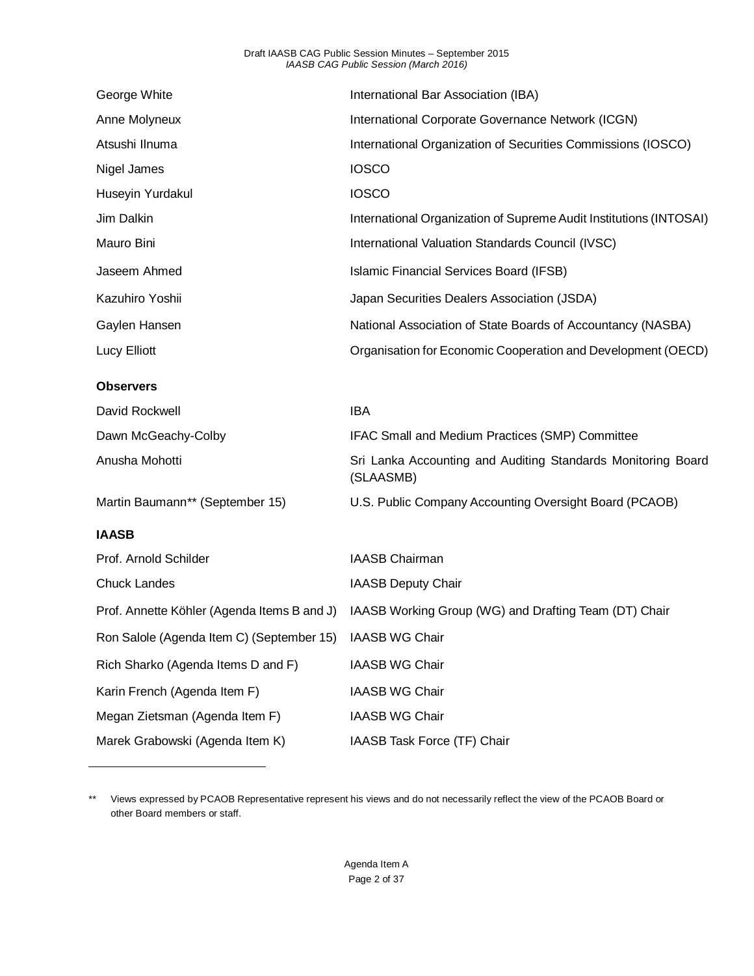#### Draft IAASB CAG Public Session Minutes – September 2015 *IAASB CAG Public Session (March 2016)*

| George White                                             | International Bar Association (IBA)                                       |
|----------------------------------------------------------|---------------------------------------------------------------------------|
| Anne Molyneux                                            | International Corporate Governance Network (ICGN)                         |
| Atsushi Ilnuma                                           | International Organization of Securities Commissions (IOSCO)              |
| Nigel James                                              | <b>IOSCO</b>                                                              |
| Huseyin Yurdakul                                         | <b>IOSCO</b>                                                              |
| Jim Dalkin                                               | International Organization of Supreme Audit Institutions (INTOSAI)        |
| Mauro Bini                                               | International Valuation Standards Council (IVSC)                          |
| Jaseem Ahmed                                             | Islamic Financial Services Board (IFSB)                                   |
| Kazuhiro Yoshii                                          | Japan Securities Dealers Association (JSDA)                               |
| Gaylen Hansen                                            | National Association of State Boards of Accountancy (NASBA)               |
| Lucy Elliott                                             | Organisation for Economic Cooperation and Development (OECD)              |
| <b>Observers</b>                                         |                                                                           |
| David Rockwell                                           | <b>IBA</b>                                                                |
| Dawn McGeachy-Colby                                      | IFAC Small and Medium Practices (SMP) Committee                           |
| Anusha Mohotti                                           | Sri Lanka Accounting and Auditing Standards Monitoring Board<br>(SLAASMB) |
| Martin Baumann** (September 15)                          | U.S. Public Company Accounting Oversight Board (PCAOB)                    |
| <b>IAASB</b>                                             |                                                                           |
| Prof. Arnold Schilder                                    | <b>IAASB Chairman</b>                                                     |
| <b>Chuck Landes</b>                                      | <b>IAASB Deputy Chair</b>                                                 |
| Prof. Annette Köhler (Agenda Items B and J)              | IAASB Working Group (WG) and Drafting Team (DT) Chair                     |
| Ron Salole (Agenda Item C) (September 15) IAASB WG Chair |                                                                           |
|                                                          |                                                                           |
| Rich Sharko (Agenda Items D and F)                       | <b>IAASB WG Chair</b>                                                     |
| Karin French (Agenda Item F)                             | <b>IAASB WG Chair</b>                                                     |
| Megan Zietsman (Agenda Item F)                           | <b>IAASB WG Chair</b>                                                     |

<span id="page-1-0"></span><sup>\*\*</sup> Views expressed by PCAOB Representative represent his views and do not necessarily reflect the view of the PCAOB Board or other Board members or staff.

 $\overline{a}$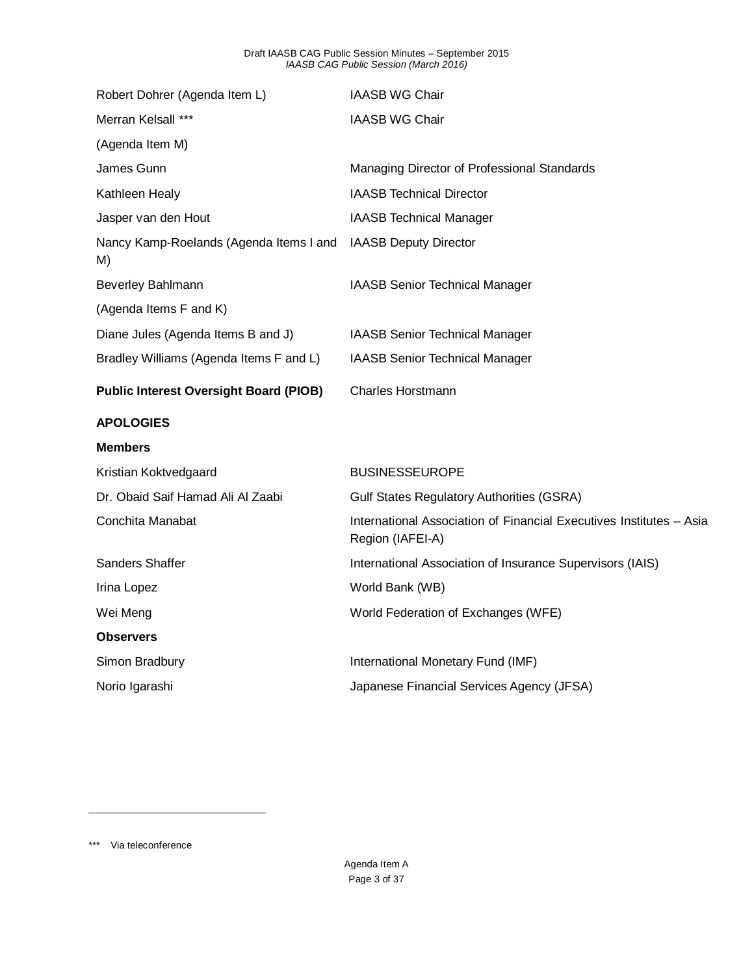| Robert Dohrer (Agenda Item L)                 | <b>IAASB WG Chair</b>                                                                   |
|-----------------------------------------------|-----------------------------------------------------------------------------------------|
| Merran Kelsall ***                            | <b>IAASB WG Chair</b>                                                                   |
| (Agenda Item M)                               |                                                                                         |
| James Gunn                                    | Managing Director of Professional Standards                                             |
| Kathleen Healy                                | <b>IAASB Technical Director</b>                                                         |
| Jasper van den Hout                           | <b>IAASB Technical Manager</b>                                                          |
| Nancy Kamp-Roelands (Agenda Items I and<br>M) | <b>IAASB Deputy Director</b>                                                            |
| Beverley Bahlmann                             | <b>IAASB Senior Technical Manager</b>                                                   |
| (Agenda Items F and K)                        |                                                                                         |
| Diane Jules (Agenda Items B and J)            | <b>IAASB Senior Technical Manager</b>                                                   |
| Bradley Williams (Agenda Items F and L)       | <b>IAASB Senior Technical Manager</b>                                                   |
|                                               | <b>Charles Horstmann</b>                                                                |
| <b>Public Interest Oversight Board (PIOB)</b> |                                                                                         |
| <b>APOLOGIES</b>                              |                                                                                         |
| <b>Members</b>                                |                                                                                         |
| Kristian Koktvedgaard                         | <b>BUSINESSEUROPE</b>                                                                   |
| Dr. Obaid Saif Hamad Ali Al Zaabi             | <b>Gulf States Regulatory Authorities (GSRA)</b>                                        |
| Conchita Manabat                              | International Association of Financial Executives Institutes - Asia<br>Region (IAFEI-A) |
| Sanders Shaffer                               | International Association of Insurance Supervisors (IAIS)                               |
| Irina Lopez                                   | World Bank (WB)                                                                         |
| Wei Meng                                      | World Federation of Exchanges (WFE)                                                     |
| <b>Observers</b>                              |                                                                                         |
| Simon Bradbury                                | International Monetary Fund (IMF)                                                       |

<span id="page-2-0"></span>\*\*\* Via teleconference

 $\overline{a}$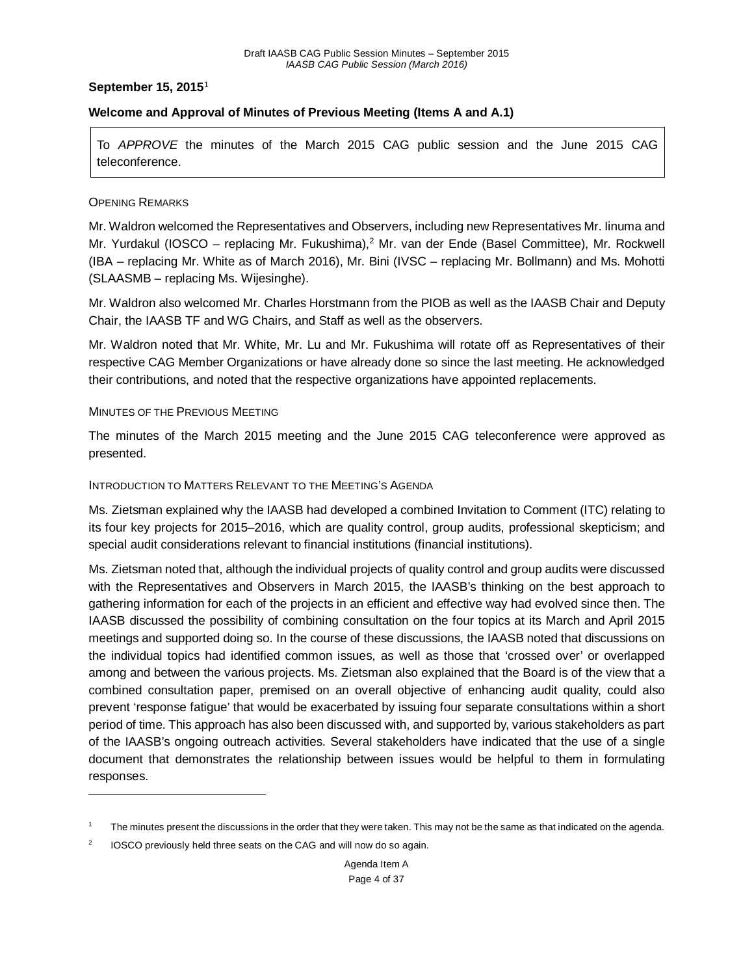#### **September 15, 2015**[1](#page-3-0)

## **Welcome and Approval of Minutes of Previous Meeting (Items A and A.1)**

To *APPROVE* the minutes of the March 2015 CAG public session and the June 2015 CAG teleconference.

#### OPENING REMARKS

 $\overline{a}$ 

Mr. Waldron welcomed the Representatives and Observers, including new Representatives Mr. Iinuma and Mr. Yurdakul (IOSCO – replacing Mr. Fukushima),<sup>[2](#page-3-1)</sup> Mr. van der Ende (Basel Committee), Mr. Rockwell (IBA – replacing Mr. White as of March 2016), Mr. Bini (IVSC – replacing Mr. Bollmann) and Ms. Mohotti (SLAASMB – replacing Ms. Wijesinghe).

Mr. Waldron also welcomed Mr. Charles Horstmann from the PIOB as well as the IAASB Chair and Deputy Chair, the IAASB TF and WG Chairs, and Staff as well as the observers.

Mr. Waldron noted that Mr. White, Mr. Lu and Mr. Fukushima will rotate off as Representatives of their respective CAG Member Organizations or have already done so since the last meeting. He acknowledged their contributions, and noted that the respective organizations have appointed replacements.

#### MINUTES OF THE PREVIOUS MEETING

The minutes of the March 2015 meeting and the June 2015 CAG teleconference were approved as presented.

#### INTRODUCTION TO MATTERS RELEVANT TO THE MEETING'S AGENDA

Ms. Zietsman explained why the IAASB had developed a combined Invitation to Comment (ITC) relating to its four key projects for 2015–2016, which are quality control, group audits, professional skepticism; and special audit considerations relevant to financial institutions (financial institutions).

Ms. Zietsman noted that, although the individual projects of quality control and group audits were discussed with the Representatives and Observers in March 2015, the IAASB's thinking on the best approach to gathering information for each of the projects in an efficient and effective way had evolved since then. The IAASB discussed the possibility of combining consultation on the four topics at its March and April 2015 meetings and supported doing so. In the course of these discussions, the IAASB noted that discussions on the individual topics had identified common issues, as well as those that 'crossed over' or overlapped among and between the various projects. Ms. Zietsman also explained that the Board is of the view that a combined consultation paper, premised on an overall objective of enhancing audit quality, could also prevent 'response fatigue' that would be exacerbated by issuing four separate consultations within a short period of time. This approach has also been discussed with, and supported by, various stakeholders as part of the IAASB's ongoing outreach activities. Several stakeholders have indicated that the use of a single document that demonstrates the relationship between issues would be helpful to them in formulating responses.

<span id="page-3-0"></span>The minutes present the discussions in the order that they were taken. This may not be the same as that indicated on the agenda.

<span id="page-3-1"></span><sup>&</sup>lt;sup>2</sup> IOSCO previously held three seats on the CAG and will now do so again.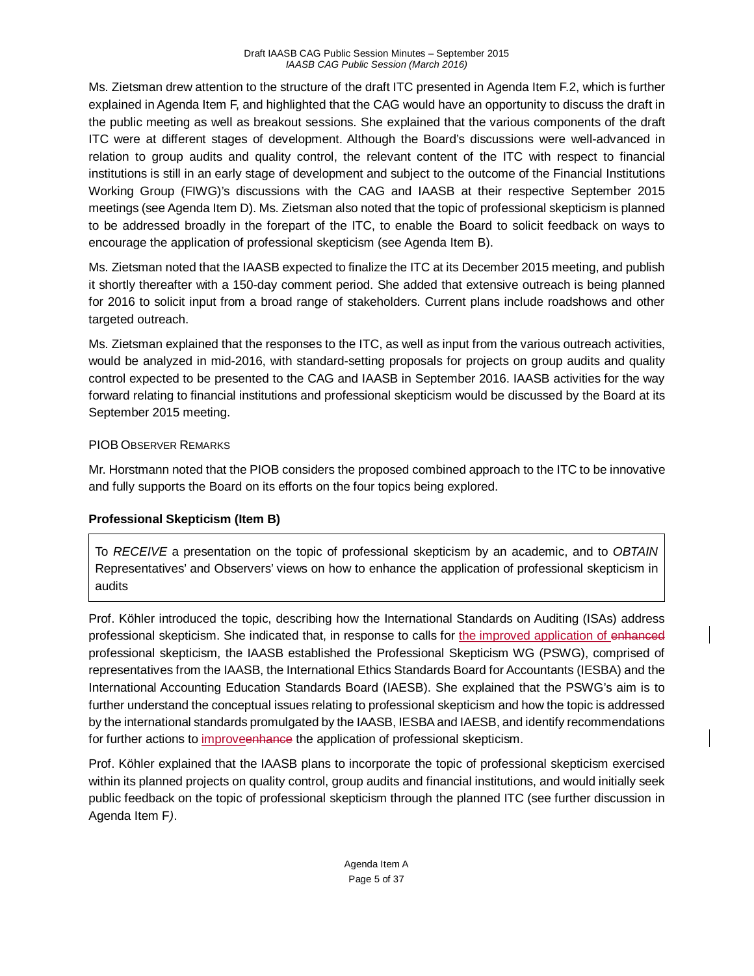Ms. Zietsman drew attention to the structure of the draft ITC presented in Agenda Item F.2, which is further explained in Agenda Item F, and highlighted that the CAG would have an opportunity to discuss the draft in the public meeting as well as breakout sessions. She explained that the various components of the draft ITC were at different stages of development. Although the Board's discussions were well-advanced in relation to group audits and quality control, the relevant content of the ITC with respect to financial institutions is still in an early stage of development and subject to the outcome of the Financial Institutions Working Group (FIWG)'s discussions with the CAG and IAASB at their respective September 2015 meetings (see Agenda Item D). Ms. Zietsman also noted that the topic of professional skepticism is planned to be addressed broadly in the forepart of the ITC, to enable the Board to solicit feedback on ways to encourage the application of professional skepticism (see Agenda Item B).

Ms. Zietsman noted that the IAASB expected to finalize the ITC at its December 2015 meeting, and publish it shortly thereafter with a 150-day comment period. She added that extensive outreach is being planned for 2016 to solicit input from a broad range of stakeholders. Current plans include roadshows and other targeted outreach.

Ms. Zietsman explained that the responses to the ITC, as well as input from the various outreach activities, would be analyzed in mid-2016, with standard-setting proposals for projects on group audits and quality control expected to be presented to the CAG and IAASB in September 2016. IAASB activities for the way forward relating to financial institutions and professional skepticism would be discussed by the Board at its September 2015 meeting.

## PIOB OBSERVER REMARKS

Mr. Horstmann noted that the PIOB considers the proposed combined approach to the ITC to be innovative and fully supports the Board on its efforts on the four topics being explored.

# **Professional Skepticism (Item B)**

To *RECEIVE* a presentation on the topic of professional skepticism by an academic, and to *OBTAIN* Representatives' and Observers' views on how to enhance the application of professional skepticism in audits

Prof. Köhler introduced the topic, describing how the International Standards on Auditing (ISAs) address professional skepticism. She indicated that, in response to calls for the improved application of enhanced professional skepticism, the IAASB established the Professional Skepticism WG (PSWG), comprised of representatives from the IAASB, the International Ethics Standards Board for Accountants (IESBA) and the International Accounting Education Standards Board (IAESB). She explained that the PSWG's aim is to further understand the conceptual issues relating to professional skepticism and how the topic is addressed by the international standards promulgated by the IAASB, IESBA and IAESB, and identify recommendations for further actions to *improveenhance* the application of professional skepticism.

Prof. Köhler explained that the IAASB plans to incorporate the topic of professional skepticism exercised within its planned projects on quality control, group audits and financial institutions, and would initially seek public feedback on the topic of professional skepticism through the planned ITC (see further discussion in Agenda Item F*)*.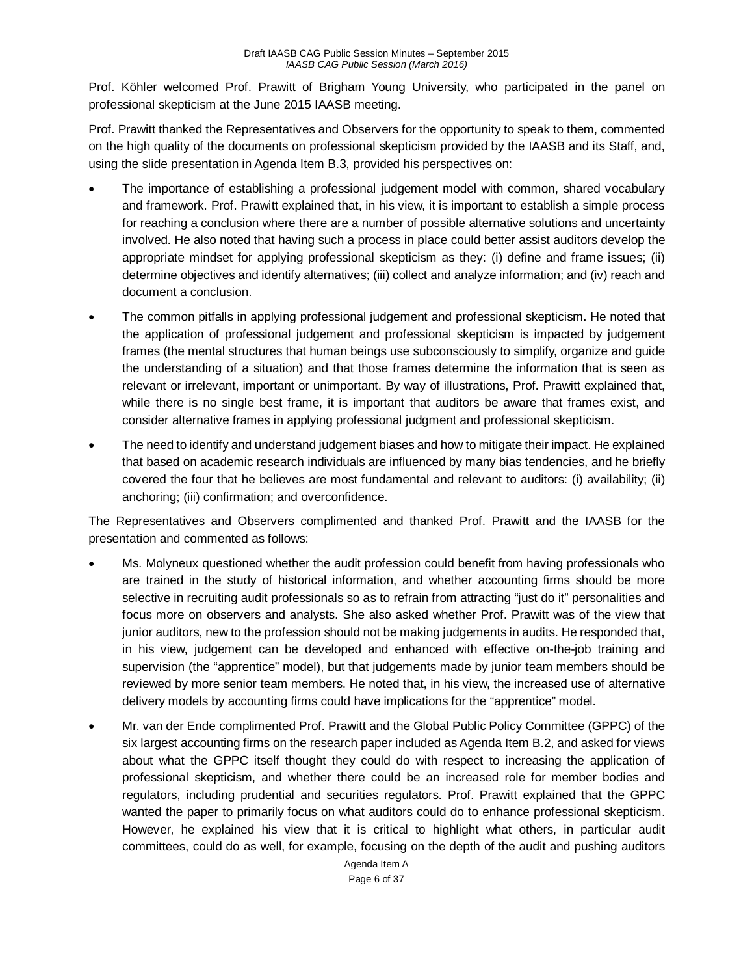Prof. Köhler welcomed Prof. Prawitt of Brigham Young University, who participated in the panel on professional skepticism at the June 2015 IAASB meeting.

Prof. Prawitt thanked the Representatives and Observers for the opportunity to speak to them, commented on the high quality of the documents on professional skepticism provided by the IAASB and its Staff, and, using the slide presentation in Agenda Item B.3, provided his perspectives on:

- The importance of establishing a professional judgement model with common, shared vocabulary and framework. Prof. Prawitt explained that, in his view, it is important to establish a simple process for reaching a conclusion where there are a number of possible alternative solutions and uncertainty involved. He also noted that having such a process in place could better assist auditors develop the appropriate mindset for applying professional skepticism as they: (i) define and frame issues; (ii) determine objectives and identify alternatives; (iii) collect and analyze information; and (iv) reach and document a conclusion.
- The common pitfalls in applying professional judgement and professional skepticism. He noted that the application of professional judgement and professional skepticism is impacted by judgement frames (the mental structures that human beings use subconsciously to simplify, organize and guide the understanding of a situation) and that those frames determine the information that is seen as relevant or irrelevant, important or unimportant. By way of illustrations, Prof. Prawitt explained that, while there is no single best frame, it is important that auditors be aware that frames exist, and consider alternative frames in applying professional judgment and professional skepticism.
- The need to identify and understand judgement biases and how to mitigate their impact. He explained that based on academic research individuals are influenced by many bias tendencies, and he briefly covered the four that he believes are most fundamental and relevant to auditors: (i) availability; (ii) anchoring; (iii) confirmation; and overconfidence.

The Representatives and Observers complimented and thanked Prof. Prawitt and the IAASB for the presentation and commented as follows:

- Ms. Molyneux questioned whether the audit profession could benefit from having professionals who are trained in the study of historical information, and whether accounting firms should be more selective in recruiting audit professionals so as to refrain from attracting "just do it" personalities and focus more on observers and analysts. She also asked whether Prof. Prawitt was of the view that junior auditors, new to the profession should not be making judgements in audits. He responded that, in his view, judgement can be developed and enhanced with effective on-the-job training and supervision (the "apprentice" model), but that judgements made by junior team members should be reviewed by more senior team members. He noted that, in his view, the increased use of alternative delivery models by accounting firms could have implications for the "apprentice" model.
- Mr. van der Ende complimented Prof. Prawitt and the Global Public Policy Committee (GPPC) of the six largest accounting firms on the research paper included as Agenda Item B.2, and asked for views about what the GPPC itself thought they could do with respect to increasing the application of professional skepticism, and whether there could be an increased role for member bodies and regulators, including prudential and securities regulators. Prof. Prawitt explained that the GPPC wanted the paper to primarily focus on what auditors could do to enhance professional skepticism. However, he explained his view that it is critical to highlight what others, in particular audit committees, could do as well, for example, focusing on the depth of the audit and pushing auditors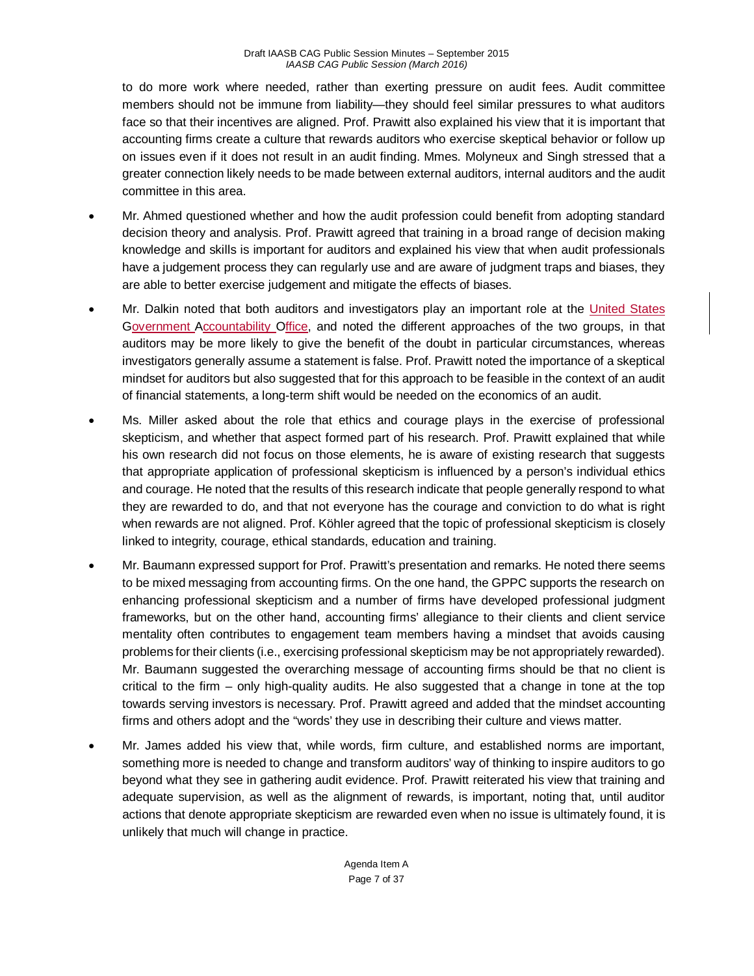to do more work where needed, rather than exerting pressure on audit fees. Audit committee members should not be immune from liability—they should feel similar pressures to what auditors face so that their incentives are aligned. Prof. Prawitt also explained his view that it is important that accounting firms create a culture that rewards auditors who exercise skeptical behavior or follow up on issues even if it does not result in an audit finding. Mmes. Molyneux and Singh stressed that a greater connection likely needs to be made between external auditors, internal auditors and the audit committee in this area.

- Mr. Ahmed questioned whether and how the audit profession could benefit from adopting standard decision theory and analysis. Prof. Prawitt agreed that training in a broad range of decision making knowledge and skills is important for auditors and explained his view that when audit professionals have a judgement process they can regularly use and are aware of judgment traps and biases, they are able to better exercise judgement and mitigate the effects of biases.
- Mr. Dalkin noted that both auditors and investigators play an important role at the United States Government Accountability Office, and noted the different approaches of the two groups, in that auditors may be more likely to give the benefit of the doubt in particular circumstances, whereas investigators generally assume a statement is false. Prof. Prawitt noted the importance of a skeptical mindset for auditors but also suggested that for this approach to be feasible in the context of an audit of financial statements, a long-term shift would be needed on the economics of an audit.
- Ms. Miller asked about the role that ethics and courage plays in the exercise of professional skepticism, and whether that aspect formed part of his research. Prof. Prawitt explained that while his own research did not focus on those elements, he is aware of existing research that suggests that appropriate application of professional skepticism is influenced by a person's individual ethics and courage. He noted that the results of this research indicate that people generally respond to what they are rewarded to do, and that not everyone has the courage and conviction to do what is right when rewards are not aligned. Prof. Köhler agreed that the topic of professional skepticism is closely linked to integrity, courage, ethical standards, education and training.
- Mr. Baumann expressed support for Prof. Prawitt's presentation and remarks. He noted there seems to be mixed messaging from accounting firms. On the one hand, the GPPC supports the research on enhancing professional skepticism and a number of firms have developed professional judgment frameworks, but on the other hand, accounting firms' allegiance to their clients and client service mentality often contributes to engagement team members having a mindset that avoids causing problems for their clients (i.e., exercising professional skepticism may be not appropriately rewarded). Mr. Baumann suggested the overarching message of accounting firms should be that no client is critical to the firm – only high-quality audits. He also suggested that a change in tone at the top towards serving investors is necessary. Prof. Prawitt agreed and added that the mindset accounting firms and others adopt and the "words' they use in describing their culture and views matter.
- Mr. James added his view that, while words, firm culture, and established norms are important, something more is needed to change and transform auditors' way of thinking to inspire auditors to go beyond what they see in gathering audit evidence. Prof. Prawitt reiterated his view that training and adequate supervision, as well as the alignment of rewards, is important, noting that, until auditor actions that denote appropriate skepticism are rewarded even when no issue is ultimately found, it is unlikely that much will change in practice.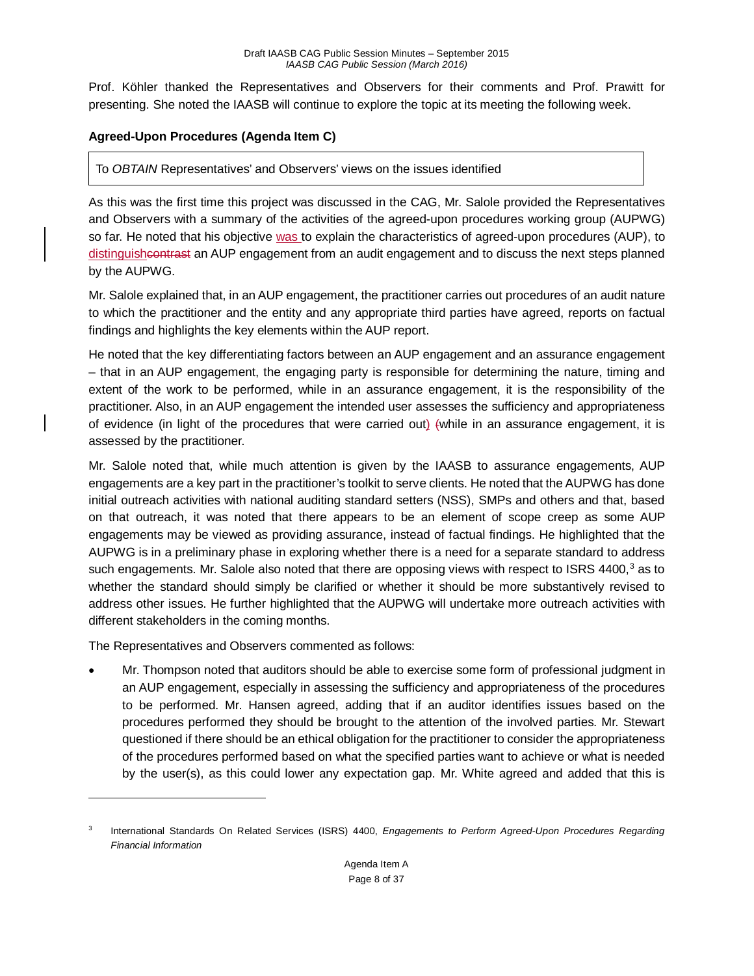Prof. Köhler thanked the Representatives and Observers for their comments and Prof. Prawitt for presenting. She noted the IAASB will continue to explore the topic at its meeting the following week.

## **Agreed-Upon Procedures (Agenda Item C)**

## To *OBTAIN* Representatives' and Observers' views on the issues identified

As this was the first time this project was discussed in the CAG, Mr. Salole provided the Representatives and Observers with a summary of the activities of the agreed-upon procedures working group (AUPWG) so far. He noted that his objective was to explain the characteristics of agreed-upon procedures (AUP), to distinguisheontrast an AUP engagement from an audit engagement and to discuss the next steps planned by the AUPWG.

Mr. Salole explained that, in an AUP engagement, the practitioner carries out procedures of an audit nature to which the practitioner and the entity and any appropriate third parties have agreed, reports on factual findings and highlights the key elements within the AUP report.

He noted that the key differentiating factors between an AUP engagement and an assurance engagement – that in an AUP engagement, the engaging party is responsible for determining the nature, timing and extent of the work to be performed, while in an assurance engagement, it is the responsibility of the practitioner. Also, in an AUP engagement the intended user assesses the sufficiency and appropriateness of evidence (in light of the procedures that were carried out) (while in an assurance engagement, it is assessed by the practitioner.

Mr. Salole noted that, while much attention is given by the IAASB to assurance engagements, AUP engagements are a key part in the practitioner's toolkit to serve clients. He noted that the AUPWG has done initial outreach activities with national auditing standard setters (NSS), SMPs and others and that, based on that outreach, it was noted that there appears to be an element of scope creep as some AUP engagements may be viewed as providing assurance, instead of factual findings. He highlighted that the AUPWG is in a preliminary phase in exploring whether there is a need for a separate standard to address such engagements. Mr. Salole also noted that there are opposing views with respect to ISRS 4400,<sup>[3](#page-7-0)</sup> as to whether the standard should simply be clarified or whether it should be more substantively revised to address other issues. He further highlighted that the AUPWG will undertake more outreach activities with different stakeholders in the coming months.

The Representatives and Observers commented as follows:

 $\overline{a}$ 

• Mr. Thompson noted that auditors should be able to exercise some form of professional judgment in an AUP engagement, especially in assessing the sufficiency and appropriateness of the procedures to be performed. Mr. Hansen agreed, adding that if an auditor identifies issues based on the procedures performed they should be brought to the attention of the involved parties. Mr. Stewart questioned if there should be an ethical obligation for the practitioner to consider the appropriateness of the procedures performed based on what the specified parties want to achieve or what is needed by the user(s), as this could lower any expectation gap. Mr. White agreed and added that this is

<span id="page-7-0"></span><sup>3</sup> International Standards On Related Services (ISRS) 4400, *Engagements to Perform Agreed-Upon Procedures Regarding Financial Information*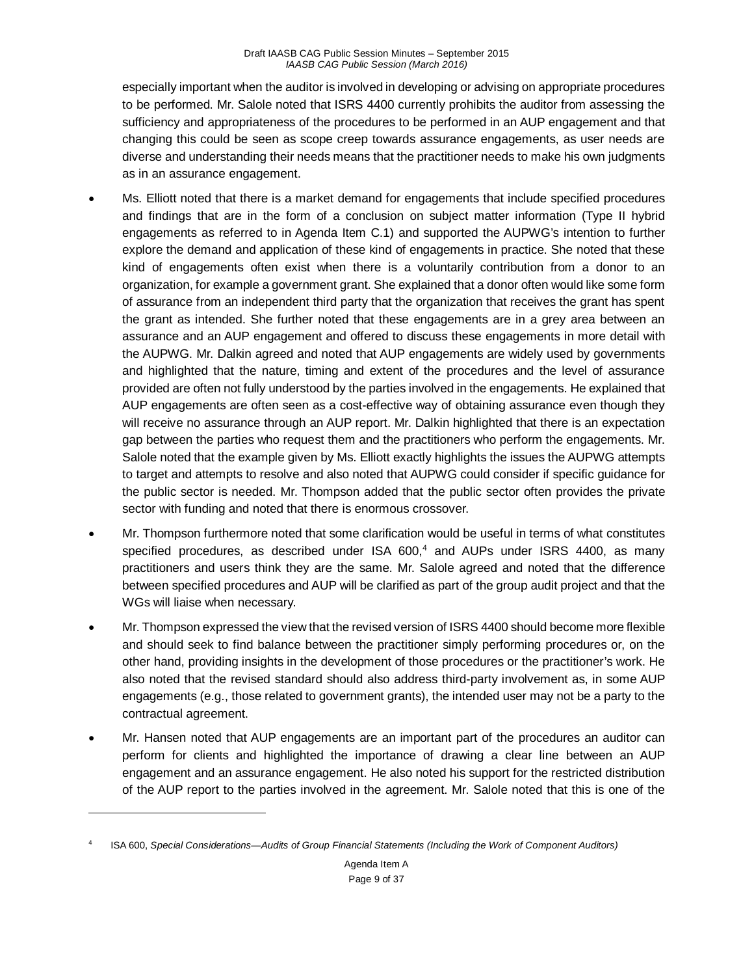especially important when the auditor is involved in developing or advising on appropriate procedures to be performed. Mr. Salole noted that ISRS 4400 currently prohibits the auditor from assessing the sufficiency and appropriateness of the procedures to be performed in an AUP engagement and that changing this could be seen as scope creep towards assurance engagements, as user needs are diverse and understanding their needs means that the practitioner needs to make his own judgments as in an assurance engagement.

- Ms. Elliott noted that there is a market demand for engagements that include specified procedures and findings that are in the form of a conclusion on subject matter information (Type II hybrid engagements as referred to in Agenda Item C.1) and supported the AUPWG's intention to further explore the demand and application of these kind of engagements in practice. She noted that these kind of engagements often exist when there is a voluntarily contribution from a donor to an organization, for example a government grant. She explained that a donor often would like some form of assurance from an independent third party that the organization that receives the grant has spent the grant as intended. She further noted that these engagements are in a grey area between an assurance and an AUP engagement and offered to discuss these engagements in more detail with the AUPWG. Mr. Dalkin agreed and noted that AUP engagements are widely used by governments and highlighted that the nature, timing and extent of the procedures and the level of assurance provided are often not fully understood by the parties involved in the engagements. He explained that AUP engagements are often seen as a cost-effective way of obtaining assurance even though they will receive no assurance through an AUP report. Mr. Dalkin highlighted that there is an expectation gap between the parties who request them and the practitioners who perform the engagements. Mr. Salole noted that the example given by Ms. Elliott exactly highlights the issues the AUPWG attempts to target and attempts to resolve and also noted that AUPWG could consider if specific guidance for the public sector is needed. Mr. Thompson added that the public sector often provides the private sector with funding and noted that there is enormous crossover.
- Mr. Thompson furthermore noted that some clarification would be useful in terms of what constitutes specified procedures, as described under ISA 600,<sup>[4](#page-8-0)</sup> and AUPs under ISRS 4400, as many practitioners and users think they are the same. Mr. Salole agreed and noted that the difference between specified procedures and AUP will be clarified as part of the group audit project and that the WGs will liaise when necessary.
- Mr. Thompson expressed the view that the revised version of ISRS 4400 should become more flexible and should seek to find balance between the practitioner simply performing procedures or, on the other hand, providing insights in the development of those procedures or the practitioner's work. He also noted that the revised standard should also address third-party involvement as, in some AUP engagements (e.g., those related to government grants), the intended user may not be a party to the contractual agreement.
- Mr. Hansen noted that AUP engagements are an important part of the procedures an auditor can perform for clients and highlighted the importance of drawing a clear line between an AUP engagement and an assurance engagement. He also noted his support for the restricted distribution of the AUP report to the parties involved in the agreement. Mr. Salole noted that this is one of the

 $\overline{a}$ 

<span id="page-8-0"></span><sup>4</sup> ISA 600, *Special Considerations—Audits of Group Financial Statements (Including the Work of Component Auditors)*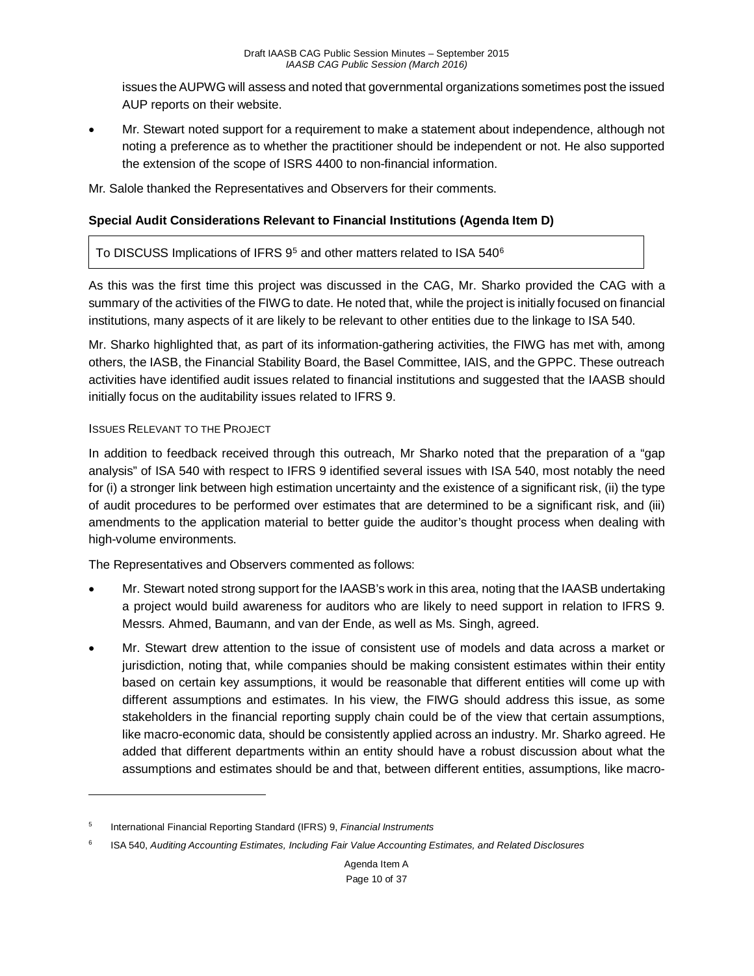issues the AUPWG will assess and noted that governmental organizations sometimes post the issued AUP reports on their website.

• Mr. Stewart noted support for a requirement to make a statement about independence, although not noting a preference as to whether the practitioner should be independent or not. He also supported the extension of the scope of ISRS 4400 to non-financial information.

Mr. Salole thanked the Representatives and Observers for their comments.

## **Special Audit Considerations Relevant to Financial Institutions (Agenda Item D)**

To DISCUSS Implications of IFRS 9<sup>[5](#page-9-0)</sup> and other matters related to ISA 540<sup>[6](#page-9-1)</sup>

As this was the first time this project was discussed in the CAG, Mr. Sharko provided the CAG with a summary of the activities of the FIWG to date. He noted that, while the project is initially focused on financial institutions, many aspects of it are likely to be relevant to other entities due to the linkage to ISA 540.

Mr. Sharko highlighted that, as part of its information-gathering activities, the FIWG has met with, among others, the IASB, the Financial Stability Board, the Basel Committee, IAIS, and the GPPC. These outreach activities have identified audit issues related to financial institutions and suggested that the IAASB should initially focus on the auditability issues related to IFRS 9.

#### ISSUES RELEVANT TO THE PROJECT

 $\overline{a}$ 

In addition to feedback received through this outreach, Mr Sharko noted that the preparation of a "gap analysis" of ISA 540 with respect to IFRS 9 identified several issues with ISA 540, most notably the need for (i) a stronger link between high estimation uncertainty and the existence of a significant risk, (ii) the type of audit procedures to be performed over estimates that are determined to be a significant risk, and (iii) amendments to the application material to better guide the auditor's thought process when dealing with high-volume environments.

The Representatives and Observers commented as follows:

- Mr. Stewart noted strong support for the IAASB's work in this area, noting that the IAASB undertaking a project would build awareness for auditors who are likely to need support in relation to IFRS 9. Messrs. Ahmed, Baumann, and van der Ende, as well as Ms. Singh, agreed.
- Mr. Stewart drew attention to the issue of consistent use of models and data across a market or jurisdiction, noting that, while companies should be making consistent estimates within their entity based on certain key assumptions, it would be reasonable that different entities will come up with different assumptions and estimates. In his view, the FIWG should address this issue, as some stakeholders in the financial reporting supply chain could be of the view that certain assumptions, like macro-economic data, should be consistently applied across an industry. Mr. Sharko agreed. He added that different departments within an entity should have a robust discussion about what the assumptions and estimates should be and that, between different entities, assumptions, like macro-

<span id="page-9-0"></span><sup>5</sup> International Financial Reporting Standard (IFRS) 9, *Financial Instruments*

<span id="page-9-1"></span><sup>6</sup> ISA 540, *Auditing Accounting Estimates, Including Fair Value Accounting Estimates, and Related Disclosures*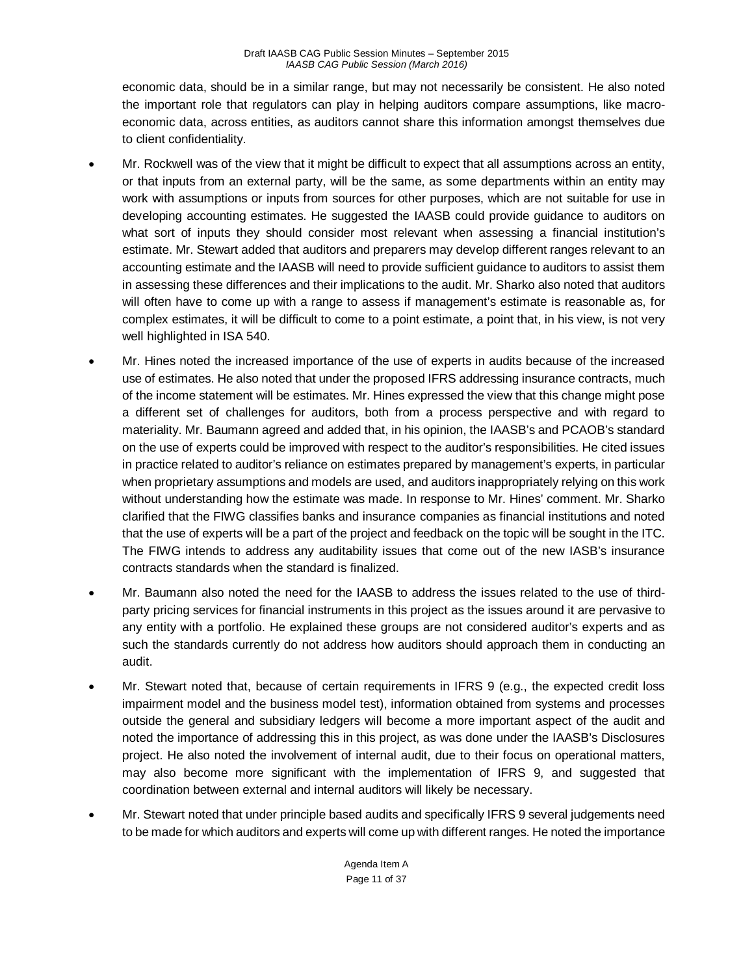economic data, should be in a similar range, but may not necessarily be consistent. He also noted the important role that regulators can play in helping auditors compare assumptions, like macroeconomic data, across entities, as auditors cannot share this information amongst themselves due to client confidentiality.

- Mr. Rockwell was of the view that it might be difficult to expect that all assumptions across an entity, or that inputs from an external party, will be the same, as some departments within an entity may work with assumptions or inputs from sources for other purposes, which are not suitable for use in developing accounting estimates. He suggested the IAASB could provide guidance to auditors on what sort of inputs they should consider most relevant when assessing a financial institution's estimate. Mr. Stewart added that auditors and preparers may develop different ranges relevant to an accounting estimate and the IAASB will need to provide sufficient guidance to auditors to assist them in assessing these differences and their implications to the audit. Mr. Sharko also noted that auditors will often have to come up with a range to assess if management's estimate is reasonable as, for complex estimates, it will be difficult to come to a point estimate, a point that, in his view, is not very well highlighted in ISA 540.
- Mr. Hines noted the increased importance of the use of experts in audits because of the increased use of estimates. He also noted that under the proposed IFRS addressing insurance contracts, much of the income statement will be estimates. Mr. Hines expressed the view that this change might pose a different set of challenges for auditors, both from a process perspective and with regard to materiality. Mr. Baumann agreed and added that, in his opinion, the IAASB's and PCAOB's standard on the use of experts could be improved with respect to the auditor's responsibilities. He cited issues in practice related to auditor's reliance on estimates prepared by management's experts, in particular when proprietary assumptions and models are used, and auditors inappropriately relying on this work without understanding how the estimate was made. In response to Mr. Hines' comment. Mr. Sharko clarified that the FIWG classifies banks and insurance companies as financial institutions and noted that the use of experts will be a part of the project and feedback on the topic will be sought in the ITC. The FIWG intends to address any auditability issues that come out of the new IASB's insurance contracts standards when the standard is finalized.
- Mr. Baumann also noted the need for the IAASB to address the issues related to the use of thirdparty pricing services for financial instruments in this project as the issues around it are pervasive to any entity with a portfolio. He explained these groups are not considered auditor's experts and as such the standards currently do not address how auditors should approach them in conducting an audit.
- Mr. Stewart noted that, because of certain requirements in IFRS 9 (e.g., the expected credit loss impairment model and the business model test), information obtained from systems and processes outside the general and subsidiary ledgers will become a more important aspect of the audit and noted the importance of addressing this in this project, as was done under the IAASB's Disclosures project. He also noted the involvement of internal audit, due to their focus on operational matters, may also become more significant with the implementation of IFRS 9, and suggested that coordination between external and internal auditors will likely be necessary.
- Mr. Stewart noted that under principle based audits and specifically IFRS 9 several judgements need to be made for which auditors and experts will come up with different ranges. He noted the importance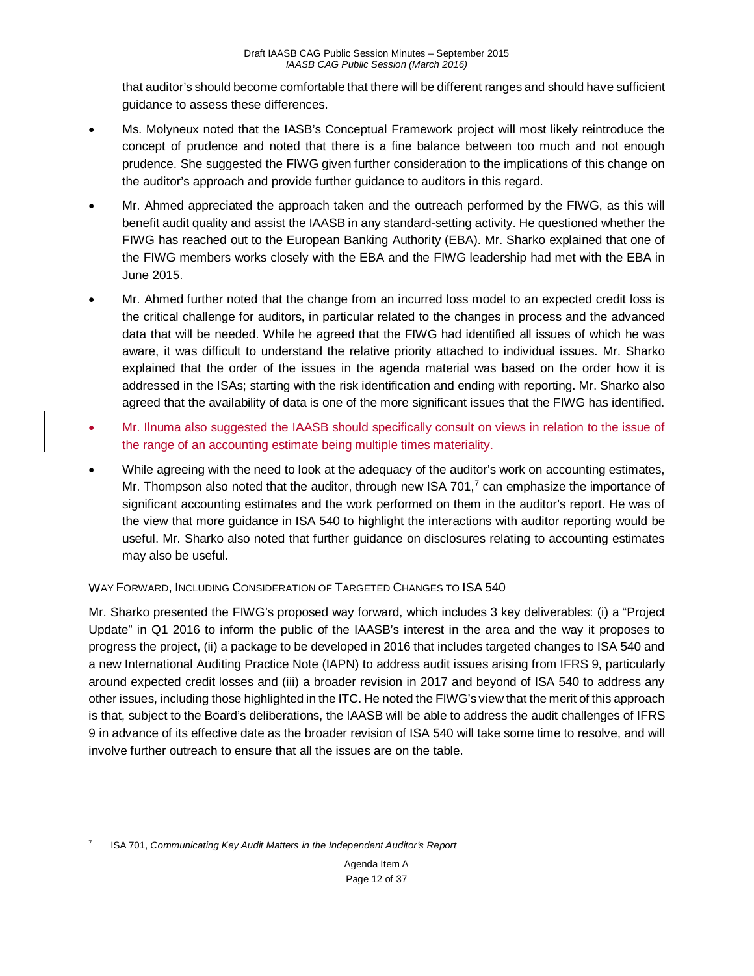that auditor's should become comfortable that there will be different ranges and should have sufficient guidance to assess these differences.

- Ms. Molyneux noted that the IASB's Conceptual Framework project will most likely reintroduce the concept of prudence and noted that there is a fine balance between too much and not enough prudence. She suggested the FIWG given further consideration to the implications of this change on the auditor's approach and provide further guidance to auditors in this regard.
- Mr. Ahmed appreciated the approach taken and the outreach performed by the FIWG, as this will benefit audit quality and assist the IAASB in any standard-setting activity. He questioned whether the FIWG has reached out to the European Banking Authority (EBA). Mr. Sharko explained that one of the FIWG members works closely with the EBA and the FIWG leadership had met with the EBA in June 2015.
- Mr. Ahmed further noted that the change from an incurred loss model to an expected credit loss is the critical challenge for auditors, in particular related to the changes in process and the advanced data that will be needed. While he agreed that the FIWG had identified all issues of which he was aware, it was difficult to understand the relative priority attached to individual issues. Mr. Sharko explained that the order of the issues in the agenda material was based on the order how it is addressed in the ISAs; starting with the risk identification and ending with reporting. Mr. Sharko also agreed that the availability of data is one of the more significant issues that the FIWG has identified.
- Mr. Ilnuma also suggested the IAASB should specifically consult on views in relation to the issue of the range of an accounting estimate being multiple times materiality.
- While agreeing with the need to look at the adequacy of the auditor's work on accounting estimates, Mr. Thompson also noted that the auditor, through new ISA [7](#page-11-0)01,<sup>7</sup> can emphasize the importance of significant accounting estimates and the work performed on them in the auditor's report. He was of the view that more guidance in ISA 540 to highlight the interactions with auditor reporting would be useful. Mr. Sharko also noted that further guidance on disclosures relating to accounting estimates may also be useful.

## WAY FORWARD, INCLUDING CONSIDERATION OF TARGETED CHANGES TO ISA 540

Mr. Sharko presented the FIWG's proposed way forward, which includes 3 key deliverables: (i) a "Project Update" in Q1 2016 to inform the public of the IAASB's interest in the area and the way it proposes to progress the project, (ii) a package to be developed in 2016 that includes targeted changes to ISA 540 and a new International Auditing Practice Note (IAPN) to address audit issues arising from IFRS 9, particularly around expected credit losses and (iii) a broader revision in 2017 and beyond of ISA 540 to address any other issues, including those highlighted in the ITC. He noted the FIWG's view that the merit of this approach is that, subject to the Board's deliberations, the IAASB will be able to address the audit challenges of IFRS 9 in advance of its effective date as the broader revision of ISA 540 will take some time to resolve, and will involve further outreach to ensure that all the issues are on the table.

 $\overline{a}$ 

<span id="page-11-0"></span><sup>7</sup> ISA 701, *Communicating Key Audit Matters in the Independent Auditor's Report*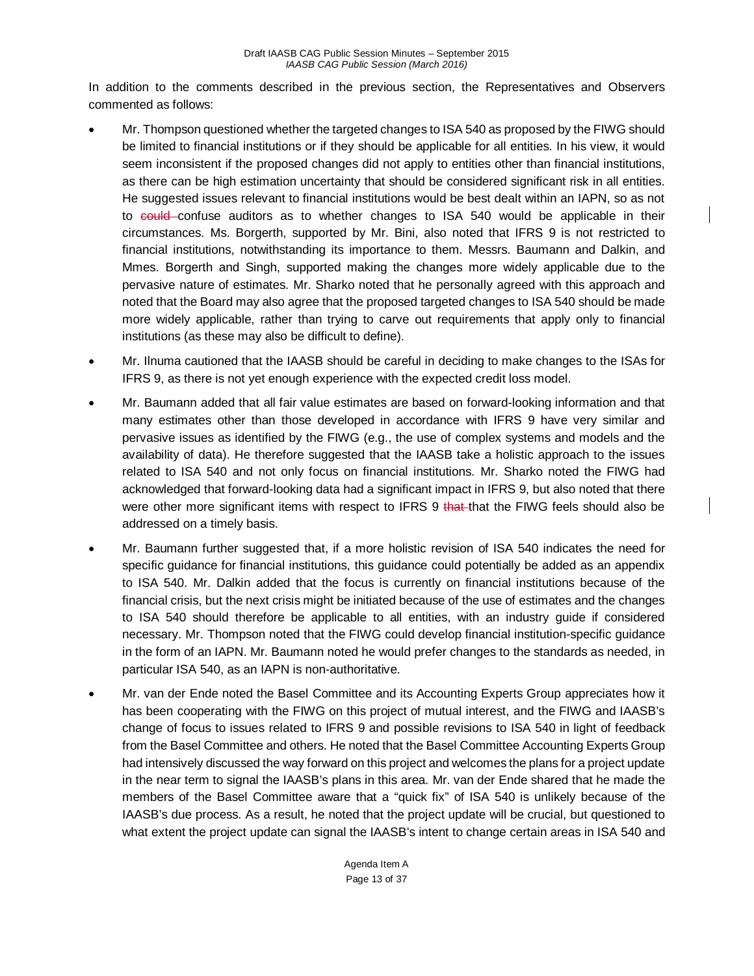In addition to the comments described in the previous section, the Representatives and Observers commented as follows:

- Mr. Thompson questioned whether the targeted changes to ISA 540 as proposed by the FIWG should be limited to financial institutions or if they should be applicable for all entities. In his view, it would seem inconsistent if the proposed changes did not apply to entities other than financial institutions, as there can be high estimation uncertainty that should be considered significant risk in all entities. He suggested issues relevant to financial institutions would be best dealt within an IAPN, so as not to could confuse auditors as to whether changes to ISA 540 would be applicable in their circumstances. Ms. Borgerth, supported by Mr. Bini, also noted that IFRS 9 is not restricted to financial institutions, notwithstanding its importance to them. Messrs. Baumann and Dalkin, and Mmes. Borgerth and Singh, supported making the changes more widely applicable due to the pervasive nature of estimates. Mr. Sharko noted that he personally agreed with this approach and noted that the Board may also agree that the proposed targeted changes to ISA 540 should be made more widely applicable, rather than trying to carve out requirements that apply only to financial institutions (as these may also be difficult to define).
- Mr. Ilnuma cautioned that the IAASB should be careful in deciding to make changes to the ISAs for IFRS 9, as there is not yet enough experience with the expected credit loss model.
- Mr. Baumann added that all fair value estimates are based on forward-looking information and that many estimates other than those developed in accordance with IFRS 9 have very similar and pervasive issues as identified by the FIWG (e.g., the use of complex systems and models and the availability of data). He therefore suggested that the IAASB take a holistic approach to the issues related to ISA 540 and not only focus on financial institutions. Mr. Sharko noted the FIWG had acknowledged that forward-looking data had a significant impact in IFRS 9, but also noted that there were other more significant items with respect to IFRS 9 that that the FIWG feels should also be addressed on a timely basis.
- Mr. Baumann further suggested that, if a more holistic revision of ISA 540 indicates the need for specific guidance for financial institutions, this guidance could potentially be added as an appendix to ISA 540. Mr. Dalkin added that the focus is currently on financial institutions because of the financial crisis, but the next crisis might be initiated because of the use of estimates and the changes to ISA 540 should therefore be applicable to all entities, with an industry guide if considered necessary. Mr. Thompson noted that the FIWG could develop financial institution-specific guidance in the form of an IAPN. Mr. Baumann noted he would prefer changes to the standards as needed, in particular ISA 540, as an IAPN is non-authoritative.
- Mr. van der Ende noted the Basel Committee and its Accounting Experts Group appreciates how it has been cooperating with the FIWG on this project of mutual interest, and the FIWG and IAASB's change of focus to issues related to IFRS 9 and possible revisions to ISA 540 in light of feedback from the Basel Committee and others. He noted that the Basel Committee Accounting Experts Group had intensively discussed the way forward on this project and welcomes the plans for a project update in the near term to signal the IAASB's plans in this area. Mr. van der Ende shared that he made the members of the Basel Committee aware that a "quick fix" of ISA 540 is unlikely because of the IAASB's due process. As a result, he noted that the project update will be crucial, but questioned to what extent the project update can signal the IAASB's intent to change certain areas in ISA 540 and

Agenda Item A Page 13 of 37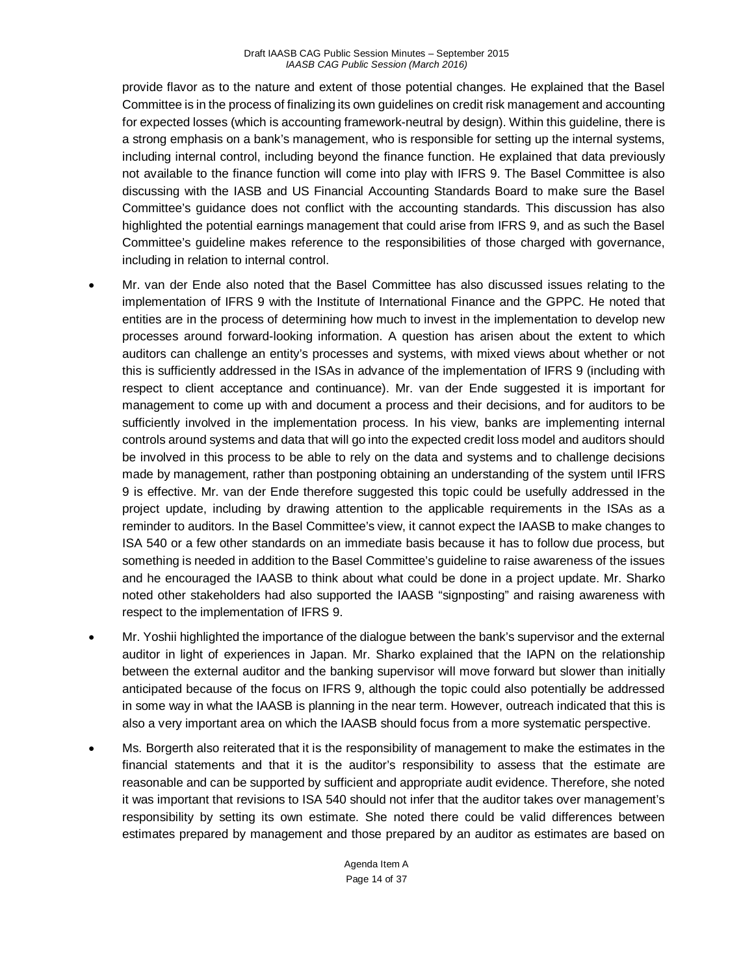provide flavor as to the nature and extent of those potential changes. He explained that the Basel Committee is in the process of finalizing its own guidelines on credit risk management and accounting for expected losses (which is accounting framework-neutral by design). Within this guideline, there is a strong emphasis on a bank's management, who is responsible for setting up the internal systems, including internal control, including beyond the finance function. He explained that data previously not available to the finance function will come into play with IFRS 9. The Basel Committee is also discussing with the IASB and US Financial Accounting Standards Board to make sure the Basel Committee's guidance does not conflict with the accounting standards. This discussion has also highlighted the potential earnings management that could arise from IFRS 9, and as such the Basel Committee's guideline makes reference to the responsibilities of those charged with governance, including in relation to internal control.

- Mr. van der Ende also noted that the Basel Committee has also discussed issues relating to the implementation of IFRS 9 with the Institute of International Finance and the GPPC. He noted that entities are in the process of determining how much to invest in the implementation to develop new processes around forward-looking information. A question has arisen about the extent to which auditors can challenge an entity's processes and systems, with mixed views about whether or not this is sufficiently addressed in the ISAs in advance of the implementation of IFRS 9 (including with respect to client acceptance and continuance). Mr. van der Ende suggested it is important for management to come up with and document a process and their decisions, and for auditors to be sufficiently involved in the implementation process. In his view, banks are implementing internal controls around systems and data that will go into the expected credit loss model and auditors should be involved in this process to be able to rely on the data and systems and to challenge decisions made by management, rather than postponing obtaining an understanding of the system until IFRS 9 is effective. Mr. van der Ende therefore suggested this topic could be usefully addressed in the project update, including by drawing attention to the applicable requirements in the ISAs as a reminder to auditors. In the Basel Committee's view, it cannot expect the IAASB to make changes to ISA 540 or a few other standards on an immediate basis because it has to follow due process, but something is needed in addition to the Basel Committee's guideline to raise awareness of the issues and he encouraged the IAASB to think about what could be done in a project update. Mr. Sharko noted other stakeholders had also supported the IAASB "signposting" and raising awareness with respect to the implementation of IFRS 9.
- Mr. Yoshii highlighted the importance of the dialogue between the bank's supervisor and the external auditor in light of experiences in Japan. Mr. Sharko explained that the IAPN on the relationship between the external auditor and the banking supervisor will move forward but slower than initially anticipated because of the focus on IFRS 9, although the topic could also potentially be addressed in some way in what the IAASB is planning in the near term. However, outreach indicated that this is also a very important area on which the IAASB should focus from a more systematic perspective.
- Ms. Borgerth also reiterated that it is the responsibility of management to make the estimates in the financial statements and that it is the auditor's responsibility to assess that the estimate are reasonable and can be supported by sufficient and appropriate audit evidence. Therefore, she noted it was important that revisions to ISA 540 should not infer that the auditor takes over management's responsibility by setting its own estimate. She noted there could be valid differences between estimates prepared by management and those prepared by an auditor as estimates are based on

Agenda Item A Page 14 of 37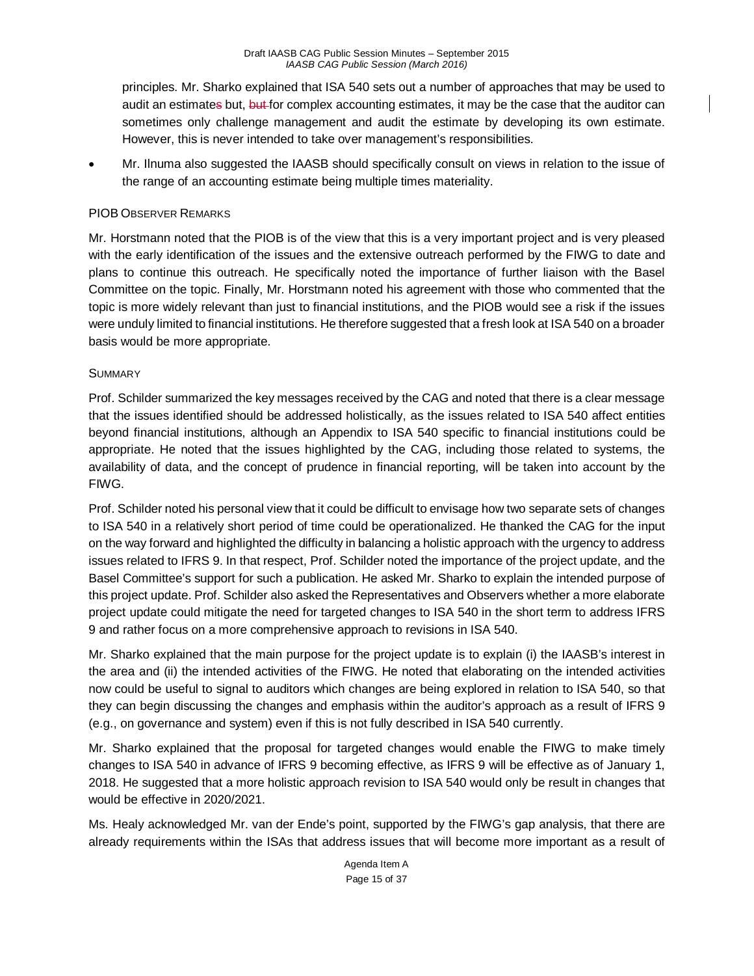principles. Mr. Sharko explained that ISA 540 sets out a number of approaches that may be used to audit an estimates but, but for complex accounting estimates, it may be the case that the auditor can sometimes only challenge management and audit the estimate by developing its own estimate. However, this is never intended to take over management's responsibilities.

• Mr. Ilnuma also suggested the IAASB should specifically consult on views in relation to the issue of the range of an accounting estimate being multiple times materiality.

#### PIOB OBSERVER REMARKS

Mr. Horstmann noted that the PIOB is of the view that this is a very important project and is very pleased with the early identification of the issues and the extensive outreach performed by the FIWG to date and plans to continue this outreach. He specifically noted the importance of further liaison with the Basel Committee on the topic. Finally, Mr. Horstmann noted his agreement with those who commented that the topic is more widely relevant than just to financial institutions, and the PIOB would see a risk if the issues were unduly limited to financial institutions. He therefore suggested that a fresh look at ISA 540 on a broader basis would be more appropriate.

#### **SUMMARY**

Prof. Schilder summarized the key messages received by the CAG and noted that there is a clear message that the issues identified should be addressed holistically, as the issues related to ISA 540 affect entities beyond financial institutions, although an Appendix to ISA 540 specific to financial institutions could be appropriate. He noted that the issues highlighted by the CAG, including those related to systems, the availability of data, and the concept of prudence in financial reporting, will be taken into account by the FIWG.

Prof. Schilder noted his personal view that it could be difficult to envisage how two separate sets of changes to ISA 540 in a relatively short period of time could be operationalized. He thanked the CAG for the input on the way forward and highlighted the difficulty in balancing a holistic approach with the urgency to address issues related to IFRS 9. In that respect, Prof. Schilder noted the importance of the project update, and the Basel Committee's support for such a publication. He asked Mr. Sharko to explain the intended purpose of this project update. Prof. Schilder also asked the Representatives and Observers whether a more elaborate project update could mitigate the need for targeted changes to ISA 540 in the short term to address IFRS 9 and rather focus on a more comprehensive approach to revisions in ISA 540.

Mr. Sharko explained that the main purpose for the project update is to explain (i) the IAASB's interest in the area and (ii) the intended activities of the FIWG. He noted that elaborating on the intended activities now could be useful to signal to auditors which changes are being explored in relation to ISA 540, so that they can begin discussing the changes and emphasis within the auditor's approach as a result of IFRS 9 (e.g., on governance and system) even if this is not fully described in ISA 540 currently.

Mr. Sharko explained that the proposal for targeted changes would enable the FIWG to make timely changes to ISA 540 in advance of IFRS 9 becoming effective, as IFRS 9 will be effective as of January 1, 2018. He suggested that a more holistic approach revision to ISA 540 would only be result in changes that would be effective in 2020/2021.

Ms. Healy acknowledged Mr. van der Ende's point, supported by the FIWG's gap analysis, that there are already requirements within the ISAs that address issues that will become more important as a result of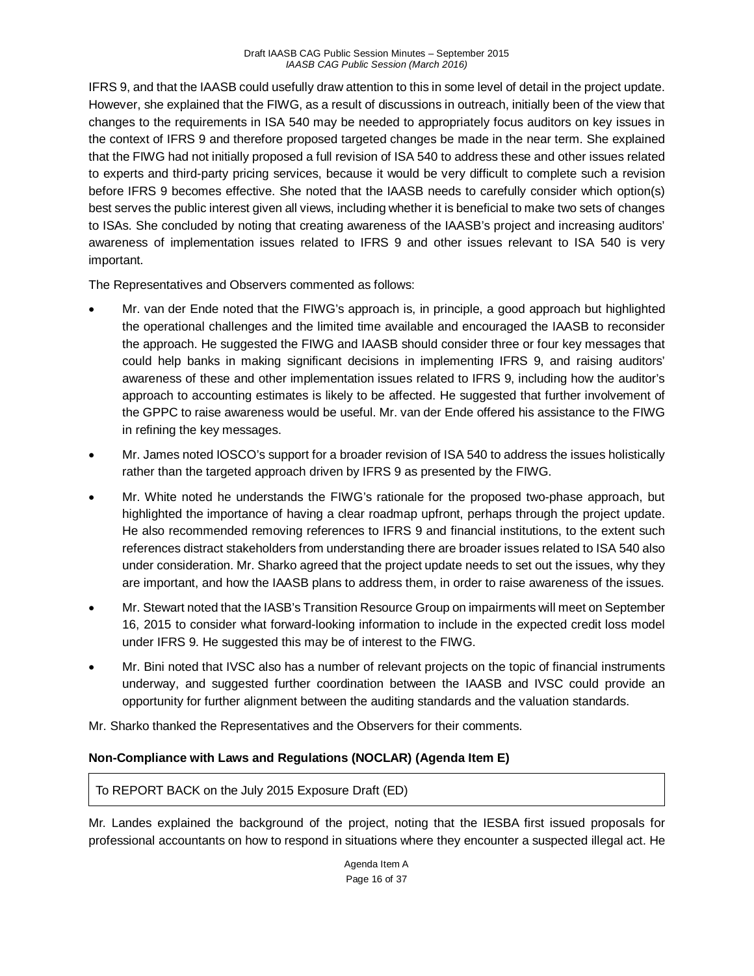IFRS 9, and that the IAASB could usefully draw attention to this in some level of detail in the project update. However, she explained that the FIWG, as a result of discussions in outreach, initially been of the view that changes to the requirements in ISA 540 may be needed to appropriately focus auditors on key issues in the context of IFRS 9 and therefore proposed targeted changes be made in the near term. She explained that the FIWG had not initially proposed a full revision of ISA 540 to address these and other issues related to experts and third-party pricing services, because it would be very difficult to complete such a revision before IFRS 9 becomes effective. She noted that the IAASB needs to carefully consider which option(s) best serves the public interest given all views, including whether it is beneficial to make two sets of changes to ISAs. She concluded by noting that creating awareness of the IAASB's project and increasing auditors' awareness of implementation issues related to IFRS 9 and other issues relevant to ISA 540 is very important.

The Representatives and Observers commented as follows:

- Mr. van der Ende noted that the FIWG's approach is, in principle, a good approach but highlighted the operational challenges and the limited time available and encouraged the IAASB to reconsider the approach. He suggested the FIWG and IAASB should consider three or four key messages that could help banks in making significant decisions in implementing IFRS 9, and raising auditors' awareness of these and other implementation issues related to IFRS 9, including how the auditor's approach to accounting estimates is likely to be affected. He suggested that further involvement of the GPPC to raise awareness would be useful. Mr. van der Ende offered his assistance to the FIWG in refining the key messages.
- Mr. James noted IOSCO's support for a broader revision of ISA 540 to address the issues holistically rather than the targeted approach driven by IFRS 9 as presented by the FIWG.
- Mr. White noted he understands the FIWG's rationale for the proposed two-phase approach, but highlighted the importance of having a clear roadmap upfront, perhaps through the project update. He also recommended removing references to IFRS 9 and financial institutions, to the extent such references distract stakeholders from understanding there are broader issues related to ISA 540 also under consideration. Mr. Sharko agreed that the project update needs to set out the issues, why they are important, and how the IAASB plans to address them, in order to raise awareness of the issues.
- Mr. Stewart noted that the IASB's Transition Resource Group on impairments will meet on September 16, 2015 to consider what forward-looking information to include in the expected credit loss model under IFRS 9. He suggested this may be of interest to the FIWG.
- Mr. Bini noted that IVSC also has a number of relevant projects on the topic of financial instruments underway, and suggested further coordination between the IAASB and IVSC could provide an opportunity for further alignment between the auditing standards and the valuation standards.

Mr. Sharko thanked the Representatives and the Observers for their comments.

# **Non-Compliance with Laws and Regulations (NOCLAR) (Agenda Item E)**

To REPORT BACK on the July 2015 Exposure Draft (ED)

Mr. Landes explained the background of the project, noting that the IESBA first issued proposals for professional accountants on how to respond in situations where they encounter a suspected illegal act. He

> Agenda Item A Page 16 of 37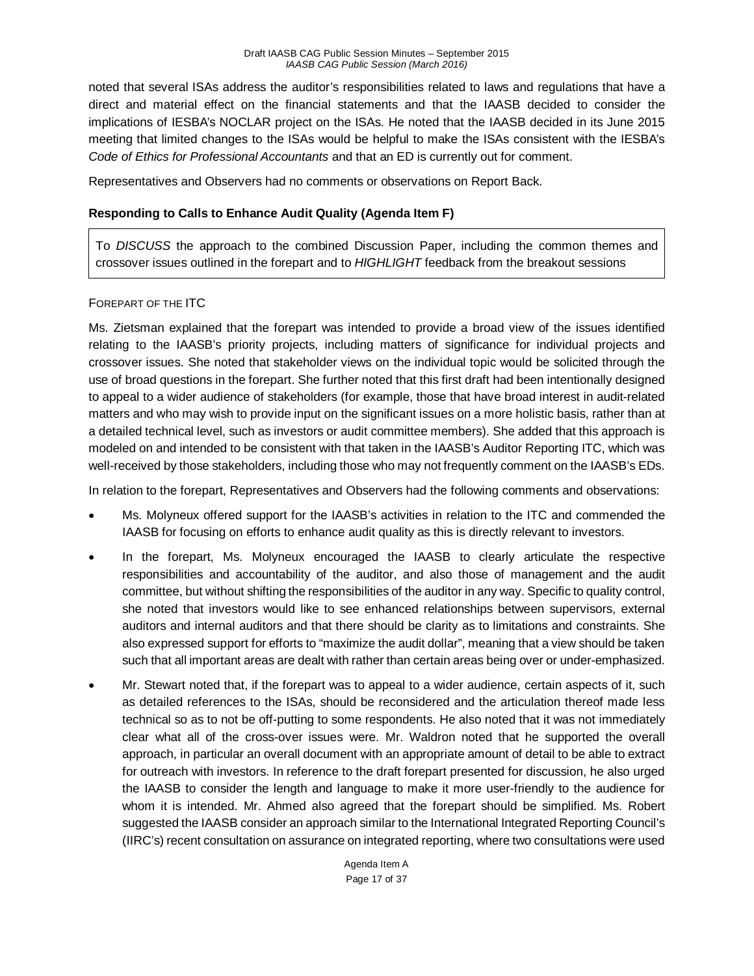noted that several ISAs address the auditor's responsibilities related to laws and regulations that have a direct and material effect on the financial statements and that the IAASB decided to consider the implications of IESBA's NOCLAR project on the ISAs. He noted that the IAASB decided in its June 2015 meeting that limited changes to the ISAs would be helpful to make the ISAs consistent with the IESBA's *Code of Ethics for Professional Accountants* and that an ED is currently out for comment.

Representatives and Observers had no comments or observations on Report Back.

#### **Responding to Calls to Enhance Audit Quality (Agenda Item F)**

To *DISCUSS* the approach to the combined Discussion Paper, including the common themes and crossover issues outlined in the forepart and to *HIGHLIGHT* feedback from the breakout sessions

#### FOREPART OF THE ITC

Ms. Zietsman explained that the forepart was intended to provide a broad view of the issues identified relating to the IAASB's priority projects, including matters of significance for individual projects and crossover issues. She noted that stakeholder views on the individual topic would be solicited through the use of broad questions in the forepart. She further noted that this first draft had been intentionally designed to appeal to a wider audience of stakeholders (for example, those that have broad interest in audit-related matters and who may wish to provide input on the significant issues on a more holistic basis, rather than at a detailed technical level, such as investors or audit committee members). She added that this approach is modeled on and intended to be consistent with that taken in the IAASB's Auditor Reporting ITC, which was well-received by those stakeholders, including those who may not frequently comment on the IAASB's EDs.

In relation to the forepart, Representatives and Observers had the following comments and observations:

- Ms. Molyneux offered support for the IAASB's activities in relation to the ITC and commended the IAASB for focusing on efforts to enhance audit quality as this is directly relevant to investors.
- In the forepart, Ms. Molyneux encouraged the IAASB to clearly articulate the respective responsibilities and accountability of the auditor, and also those of management and the audit committee, but without shifting the responsibilities of the auditor in any way. Specific to quality control, she noted that investors would like to see enhanced relationships between supervisors, external auditors and internal auditors and that there should be clarity as to limitations and constraints. She also expressed support for efforts to "maximize the audit dollar", meaning that a view should be taken such that all important areas are dealt with rather than certain areas being over or under-emphasized.
- Mr. Stewart noted that, if the forepart was to appeal to a wider audience, certain aspects of it, such as detailed references to the ISAs, should be reconsidered and the articulation thereof made less technical so as to not be off-putting to some respondents. He also noted that it was not immediately clear what all of the cross-over issues were. Mr. Waldron noted that he supported the overall approach, in particular an overall document with an appropriate amount of detail to be able to extract for outreach with investors. In reference to the draft forepart presented for discussion, he also urged the IAASB to consider the length and language to make it more user-friendly to the audience for whom it is intended. Mr. Ahmed also agreed that the forepart should be simplified. Ms. Robert suggested the IAASB consider an approach similar to the International Integrated Reporting Council's (IIRC's) recent consultation on assurance on integrated reporting, where two consultations were used

Agenda Item A Page 17 of 37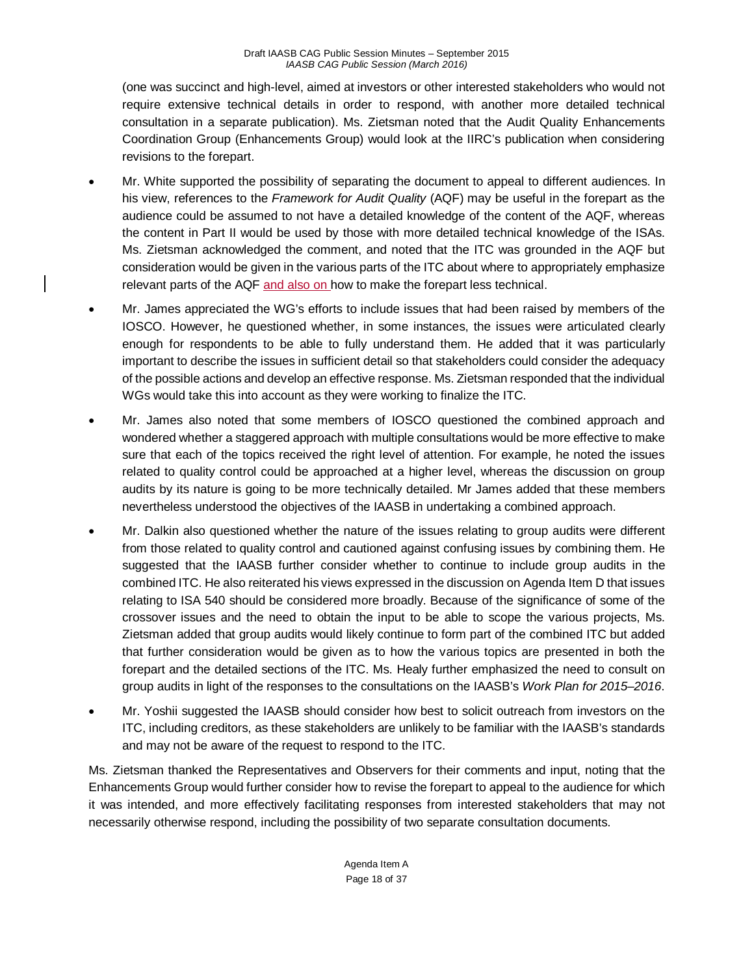(one was succinct and high-level, aimed at investors or other interested stakeholders who would not require extensive technical details in order to respond, with another more detailed technical consultation in a separate publication). Ms. Zietsman noted that the Audit Quality Enhancements Coordination Group (Enhancements Group) would look at the IIRC's publication when considering revisions to the forepart.

- Mr. White supported the possibility of separating the document to appeal to different audiences. In his view, references to the *Framework for Audit Quality* (AQF) may be useful in the forepart as the audience could be assumed to not have a detailed knowledge of the content of the AQF, whereas the content in Part II would be used by those with more detailed technical knowledge of the ISAs. Ms. Zietsman acknowledged the comment, and noted that the ITC was grounded in the AQF but consideration would be given in the various parts of the ITC about where to appropriately emphasize relevant parts of the AQF and also on how to make the forepart less technical.
- Mr. James appreciated the WG's efforts to include issues that had been raised by members of the IOSCO. However, he questioned whether, in some instances, the issues were articulated clearly enough for respondents to be able to fully understand them. He added that it was particularly important to describe the issues in sufficient detail so that stakeholders could consider the adequacy of the possible actions and develop an effective response. Ms. Zietsman responded that the individual WGs would take this into account as they were working to finalize the ITC.
- Mr. James also noted that some members of IOSCO questioned the combined approach and wondered whether a staggered approach with multiple consultations would be more effective to make sure that each of the topics received the right level of attention. For example, he noted the issues related to quality control could be approached at a higher level, whereas the discussion on group audits by its nature is going to be more technically detailed. Mr James added that these members nevertheless understood the objectives of the IAASB in undertaking a combined approach.
- Mr. Dalkin also questioned whether the nature of the issues relating to group audits were different from those related to quality control and cautioned against confusing issues by combining them. He suggested that the IAASB further consider whether to continue to include group audits in the combined ITC. He also reiterated his views expressed in the discussion on Agenda Item D that issues relating to ISA 540 should be considered more broadly. Because of the significance of some of the crossover issues and the need to obtain the input to be able to scope the various projects, Ms. Zietsman added that group audits would likely continue to form part of the combined ITC but added that further consideration would be given as to how the various topics are presented in both the forepart and the detailed sections of the ITC. Ms. Healy further emphasized the need to consult on group audits in light of the responses to the consultations on the IAASB's *Work Plan for 2015–2016*.
- Mr. Yoshii suggested the IAASB should consider how best to solicit outreach from investors on the ITC, including creditors, as these stakeholders are unlikely to be familiar with the IAASB's standards and may not be aware of the request to respond to the ITC.

Ms. Zietsman thanked the Representatives and Observers for their comments and input, noting that the Enhancements Group would further consider how to revise the forepart to appeal to the audience for which it was intended, and more effectively facilitating responses from interested stakeholders that may not necessarily otherwise respond, including the possibility of two separate consultation documents.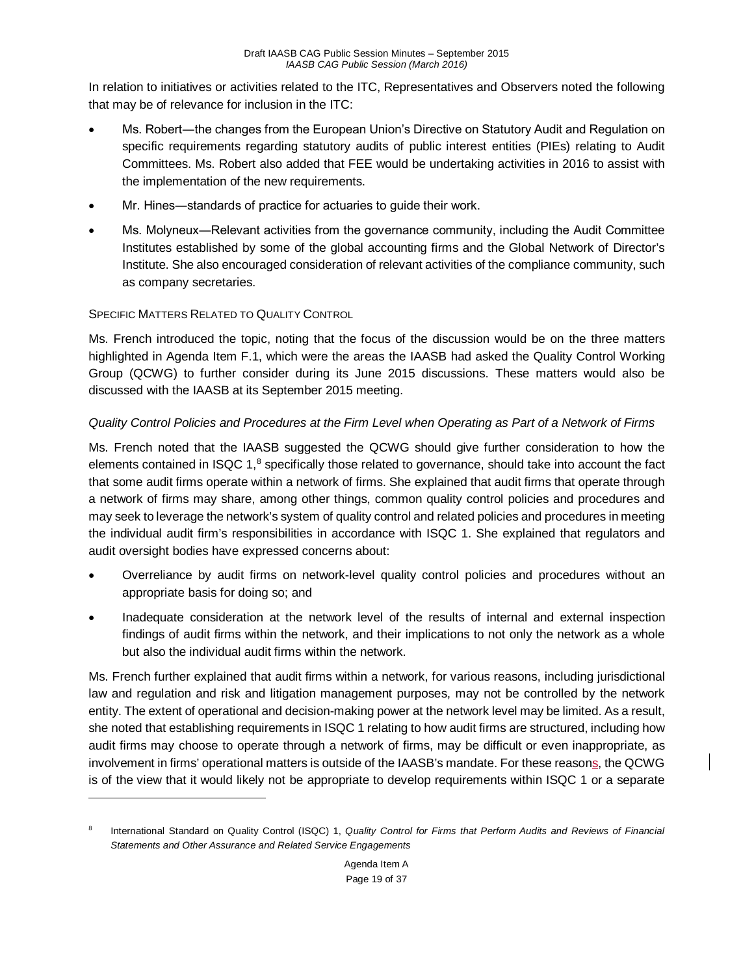In relation to initiatives or activities related to the ITC, Representatives and Observers noted the following that may be of relevance for inclusion in the ITC:

- Ms. Robert—the changes from the European Union's Directive on Statutory Audit and Regulation on specific requirements regarding statutory audits of public interest entities (PIEs) relating to Audit Committees. Ms. Robert also added that FEE would be undertaking activities in 2016 to assist with the implementation of the new requirements.
- Mr. Hines―standards of practice for actuaries to guide their work.
- Ms. Molyneux―Relevant activities from the governance community, including the Audit Committee Institutes established by some of the global accounting firms and the Global Network of Director's Institute. She also encouraged consideration of relevant activities of the compliance community, such as company secretaries.

## SPECIFIC MATTERS RELATED TO QUALITY CONTROL

 $\overline{a}$ 

Ms. French introduced the topic, noting that the focus of the discussion would be on the three matters highlighted in Agenda Item F.1, which were the areas the IAASB had asked the Quality Control Working Group (QCWG) to further consider during its June 2015 discussions. These matters would also be discussed with the IAASB at its September 2015 meeting.

## *Quality Control Policies and Procedures at the Firm Level when Operating as Part of a Network of Firms*

Ms. French noted that the IAASB suggested the QCWG should give further consideration to how the elements contained in ISQC 1,<sup>[8](#page-18-0)</sup> specifically those related to governance, should take into account the fact that some audit firms operate within a network of firms. She explained that audit firms that operate through a network of firms may share, among other things, common quality control policies and procedures and may seek to leverage the network's system of quality control and related policies and procedures in meeting the individual audit firm's responsibilities in accordance with ISQC 1. She explained that regulators and audit oversight bodies have expressed concerns about:

- Overreliance by audit firms on network-level quality control policies and procedures without an appropriate basis for doing so; and
- Inadequate consideration at the network level of the results of internal and external inspection findings of audit firms within the network, and their implications to not only the network as a whole but also the individual audit firms within the network.

Ms. French further explained that audit firms within a network, for various reasons, including jurisdictional law and regulation and risk and litigation management purposes, may not be controlled by the network entity. The extent of operational and decision-making power at the network level may be limited. As a result, she noted that establishing requirements in ISQC 1 relating to how audit firms are structured, including how audit firms may choose to operate through a network of firms, may be difficult or even inappropriate, as involvement in firms' operational matters is outside of the IAASB's mandate. For these reasons, the QCWG is of the view that it would likely not be appropriate to develop requirements within ISQC 1 or a separate

<span id="page-18-0"></span><sup>8</sup> International Standard on Quality Control (ISQC) 1, *Quality Control for Firms that Perform Audits and Reviews of Financial Statements and Other Assurance and Related Service Engagements*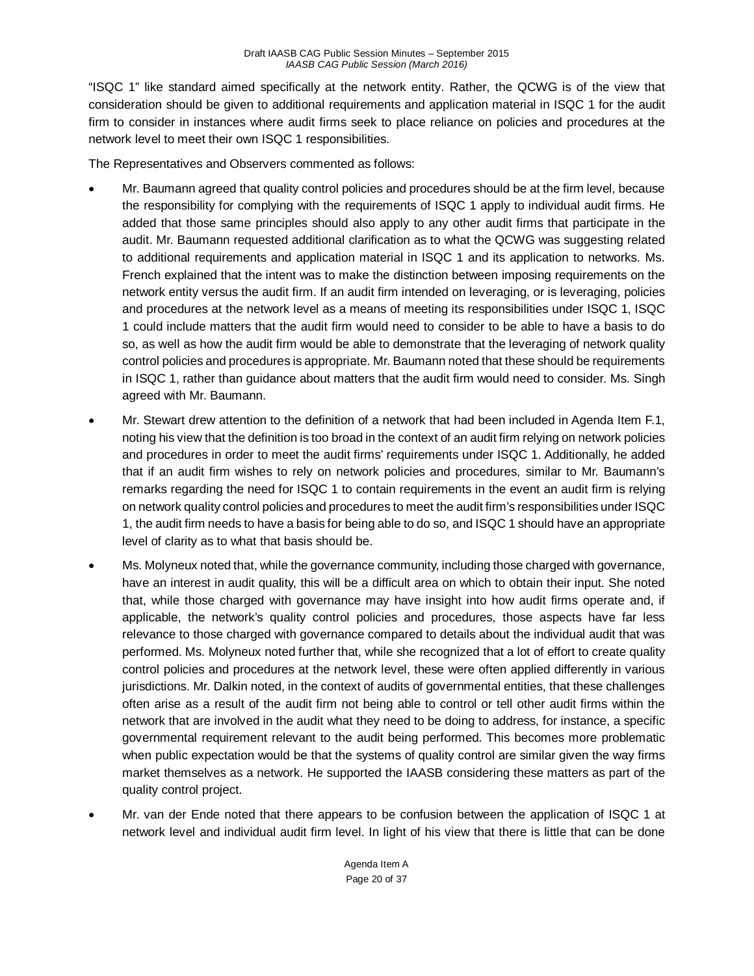"ISQC 1" like standard aimed specifically at the network entity. Rather, the QCWG is of the view that consideration should be given to additional requirements and application material in ISQC 1 for the audit firm to consider in instances where audit firms seek to place reliance on policies and procedures at the network level to meet their own ISQC 1 responsibilities.

The Representatives and Observers commented as follows:

- Mr. Baumann agreed that quality control policies and procedures should be at the firm level, because the responsibility for complying with the requirements of ISQC 1 apply to individual audit firms. He added that those same principles should also apply to any other audit firms that participate in the audit. Mr. Baumann requested additional clarification as to what the QCWG was suggesting related to additional requirements and application material in ISQC 1 and its application to networks. Ms. French explained that the intent was to make the distinction between imposing requirements on the network entity versus the audit firm. If an audit firm intended on leveraging, or is leveraging, policies and procedures at the network level as a means of meeting its responsibilities under ISQC 1, ISQC 1 could include matters that the audit firm would need to consider to be able to have a basis to do so, as well as how the audit firm would be able to demonstrate that the leveraging of network quality control policies and procedures is appropriate. Mr. Baumann noted that these should be requirements in ISQC 1, rather than guidance about matters that the audit firm would need to consider. Ms. Singh agreed with Mr. Baumann.
- Mr. Stewart drew attention to the definition of a network that had been included in Agenda Item F.1, noting his view that the definition is too broad in the context of an audit firm relying on network policies and procedures in order to meet the audit firms' requirements under ISQC 1. Additionally, he added that if an audit firm wishes to rely on network policies and procedures, similar to Mr. Baumann's remarks regarding the need for ISQC 1 to contain requirements in the event an audit firm is relying on network quality control policies and procedures to meet the audit firm's responsibilities under ISQC 1, the audit firm needs to have a basis for being able to do so, and ISQC 1 should have an appropriate level of clarity as to what that basis should be.
- Ms. Molyneux noted that, while the governance community, including those charged with governance, have an interest in audit quality, this will be a difficult area on which to obtain their input. She noted that, while those charged with governance may have insight into how audit firms operate and, if applicable, the network's quality control policies and procedures, those aspects have far less relevance to those charged with governance compared to details about the individual audit that was performed. Ms. Molyneux noted further that, while she recognized that a lot of effort to create quality control policies and procedures at the network level, these were often applied differently in various jurisdictions. Mr. Dalkin noted, in the context of audits of governmental entities, that these challenges often arise as a result of the audit firm not being able to control or tell other audit firms within the network that are involved in the audit what they need to be doing to address, for instance, a specific governmental requirement relevant to the audit being performed. This becomes more problematic when public expectation would be that the systems of quality control are similar given the way firms market themselves as a network. He supported the IAASB considering these matters as part of the quality control project.
- Mr. van der Ende noted that there appears to be confusion between the application of ISQC 1 at network level and individual audit firm level. In light of his view that there is little that can be done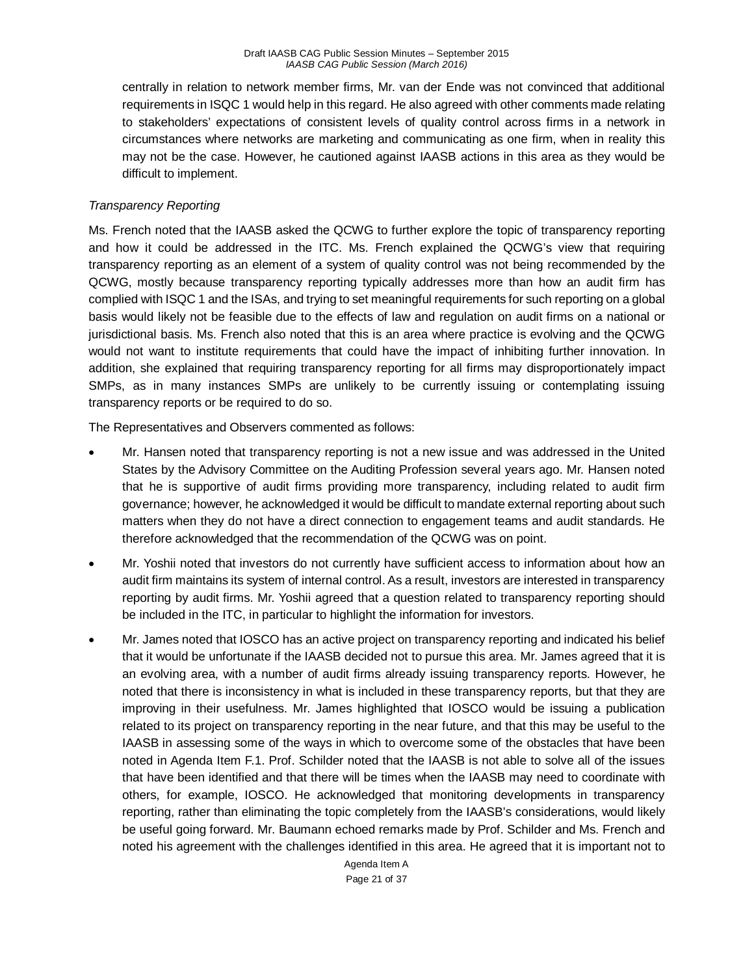centrally in relation to network member firms, Mr. van der Ende was not convinced that additional requirements in ISQC 1 would help in this regard. He also agreed with other comments made relating to stakeholders' expectations of consistent levels of quality control across firms in a network in circumstances where networks are marketing and communicating as one firm, when in reality this may not be the case. However, he cautioned against IAASB actions in this area as they would be difficult to implement.

#### *Transparency Reporting*

Ms. French noted that the IAASB asked the QCWG to further explore the topic of transparency reporting and how it could be addressed in the ITC. Ms. French explained the QCWG's view that requiring transparency reporting as an element of a system of quality control was not being recommended by the QCWG, mostly because transparency reporting typically addresses more than how an audit firm has complied with ISQC 1 and the ISAs, and trying to set meaningful requirements for such reporting on a global basis would likely not be feasible due to the effects of law and regulation on audit firms on a national or jurisdictional basis. Ms. French also noted that this is an area where practice is evolving and the QCWG would not want to institute requirements that could have the impact of inhibiting further innovation. In addition, she explained that requiring transparency reporting for all firms may disproportionately impact SMPs, as in many instances SMPs are unlikely to be currently issuing or contemplating issuing transparency reports or be required to do so.

The Representatives and Observers commented as follows:

- Mr. Hansen noted that transparency reporting is not a new issue and was addressed in the United States by the Advisory Committee on the Auditing Profession several years ago. Mr. Hansen noted that he is supportive of audit firms providing more transparency, including related to audit firm governance; however, he acknowledged it would be difficult to mandate external reporting about such matters when they do not have a direct connection to engagement teams and audit standards. He therefore acknowledged that the recommendation of the QCWG was on point.
- Mr. Yoshii noted that investors do not currently have sufficient access to information about how an audit firm maintains its system of internal control. As a result, investors are interested in transparency reporting by audit firms. Mr. Yoshii agreed that a question related to transparency reporting should be included in the ITC, in particular to highlight the information for investors.
- Mr. James noted that IOSCO has an active project on transparency reporting and indicated his belief that it would be unfortunate if the IAASB decided not to pursue this area. Mr. James agreed that it is an evolving area, with a number of audit firms already issuing transparency reports. However, he noted that there is inconsistency in what is included in these transparency reports, but that they are improving in their usefulness. Mr. James highlighted that IOSCO would be issuing a publication related to its project on transparency reporting in the near future, and that this may be useful to the IAASB in assessing some of the ways in which to overcome some of the obstacles that have been noted in Agenda Item F.1. Prof. Schilder noted that the IAASB is not able to solve all of the issues that have been identified and that there will be times when the IAASB may need to coordinate with others, for example, IOSCO. He acknowledged that monitoring developments in transparency reporting, rather than eliminating the topic completely from the IAASB's considerations, would likely be useful going forward. Mr. Baumann echoed remarks made by Prof. Schilder and Ms. French and noted his agreement with the challenges identified in this area. He agreed that it is important not to

Agenda Item A Page 21 of 37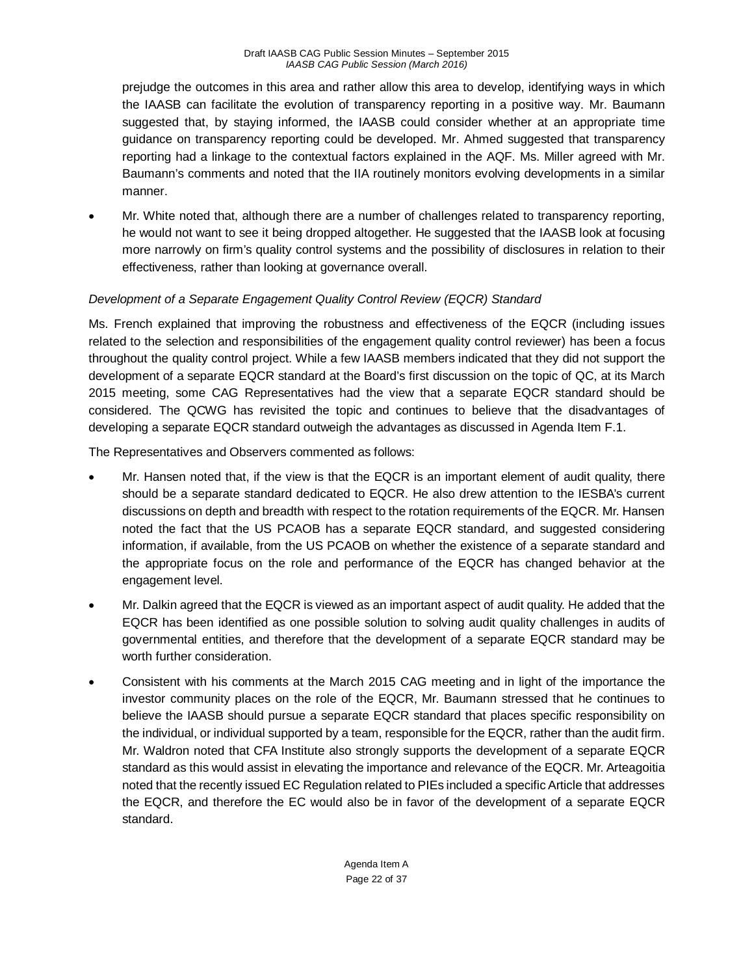prejudge the outcomes in this area and rather allow this area to develop, identifying ways in which the IAASB can facilitate the evolution of transparency reporting in a positive way. Mr. Baumann suggested that, by staying informed, the IAASB could consider whether at an appropriate time guidance on transparency reporting could be developed. Mr. Ahmed suggested that transparency reporting had a linkage to the contextual factors explained in the AQF. Ms. Miller agreed with Mr. Baumann's comments and noted that the IIA routinely monitors evolving developments in a similar manner.

• Mr. White noted that, although there are a number of challenges related to transparency reporting, he would not want to see it being dropped altogether. He suggested that the IAASB look at focusing more narrowly on firm's quality control systems and the possibility of disclosures in relation to their effectiveness, rather than looking at governance overall.

## *Development of a Separate Engagement Quality Control Review (EQCR) Standard*

Ms. French explained that improving the robustness and effectiveness of the EQCR (including issues related to the selection and responsibilities of the engagement quality control reviewer) has been a focus throughout the quality control project. While a few IAASB members indicated that they did not support the development of a separate EQCR standard at the Board's first discussion on the topic of QC, at its March 2015 meeting, some CAG Representatives had the view that a separate EQCR standard should be considered. The QCWG has revisited the topic and continues to believe that the disadvantages of developing a separate EQCR standard outweigh the advantages as discussed in Agenda Item F.1.

The Representatives and Observers commented as follows:

- Mr. Hansen noted that, if the view is that the EQCR is an important element of audit quality, there should be a separate standard dedicated to EQCR. He also drew attention to the IESBA's current discussions on depth and breadth with respect to the rotation requirements of the EQCR. Mr. Hansen noted the fact that the US PCAOB has a separate EQCR standard, and suggested considering information, if available, from the US PCAOB on whether the existence of a separate standard and the appropriate focus on the role and performance of the EQCR has changed behavior at the engagement level.
- Mr. Dalkin agreed that the EQCR is viewed as an important aspect of audit quality. He added that the EQCR has been identified as one possible solution to solving audit quality challenges in audits of governmental entities, and therefore that the development of a separate EQCR standard may be worth further consideration.
- Consistent with his comments at the March 2015 CAG meeting and in light of the importance the investor community places on the role of the EQCR, Mr. Baumann stressed that he continues to believe the IAASB should pursue a separate EQCR standard that places specific responsibility on the individual, or individual supported by a team, responsible for the EQCR, rather than the audit firm. Mr. Waldron noted that CFA Institute also strongly supports the development of a separate EQCR standard as this would assist in elevating the importance and relevance of the EQCR. Mr. Arteagoitia noted that the recently issued EC Regulation related to PIEs included a specific Article that addresses the EQCR, and therefore the EC would also be in favor of the development of a separate EQCR standard.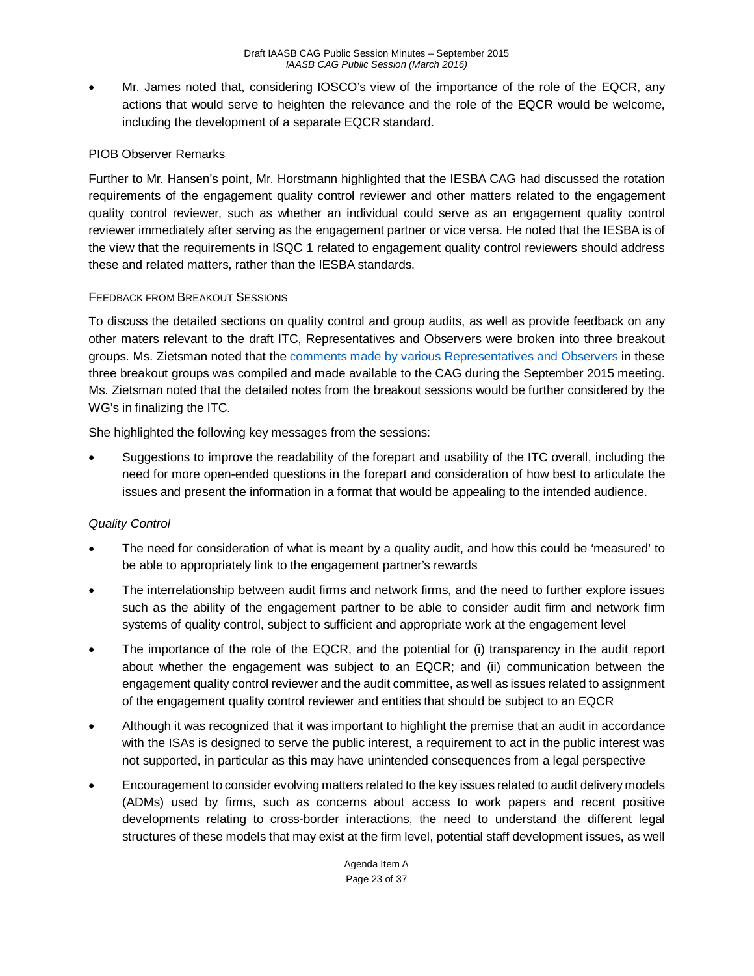• Mr. James noted that, considering IOSCO's view of the importance of the role of the EQCR, any actions that would serve to heighten the relevance and the role of the EQCR would be welcome, including the development of a separate EQCR standard.

#### PIOB Observer Remarks

Further to Mr. Hansen's point, Mr. Horstmann highlighted that the IESBA CAG had discussed the rotation requirements of the engagement quality control reviewer and other matters related to the engagement quality control reviewer, such as whether an individual could serve as an engagement quality control reviewer immediately after serving as the engagement partner or vice versa. He noted that the IESBA is of the view that the requirements in ISQC 1 related to engagement quality control reviewers should address these and related matters, rather than the IESBA standards.

#### FEEDBACK FROM BREAKOUT SESSIONS

To discuss the detailed sections on quality control and group audits, as well as provide feedback on any other maters relevant to the draft ITC, Representatives and Observers were broken into three breakout groups. Ms. Zietsman noted that the [comments made by various Representatives and Observers](http://www.ifac.org/system/files/meetings/files/20150916-IAASB_CAG_Agenda_Item-F-Enhancing-Audit-Quality-Feedback.pdf) in these three breakout groups was compiled and made available to the CAG during the September 2015 meeting. Ms. Zietsman noted that the detailed notes from the breakout sessions would be further considered by the WG's in finalizing the ITC.

She highlighted the following key messages from the sessions:

• Suggestions to improve the readability of the forepart and usability of the ITC overall, including the need for more open-ended questions in the forepart and consideration of how best to articulate the issues and present the information in a format that would be appealing to the intended audience.

## *Quality Control*

- The need for consideration of what is meant by a quality audit, and how this could be 'measured' to be able to appropriately link to the engagement partner's rewards
- The interrelationship between audit firms and network firms, and the need to further explore issues such as the ability of the engagement partner to be able to consider audit firm and network firm systems of quality control, subject to sufficient and appropriate work at the engagement level
- The importance of the role of the EQCR, and the potential for (i) transparency in the audit report about whether the engagement was subject to an EQCR; and (ii) communication between the engagement quality control reviewer and the audit committee, as well as issues related to assignment of the engagement quality control reviewer and entities that should be subject to an EQCR
- Although it was recognized that it was important to highlight the premise that an audit in accordance with the ISAs is designed to serve the public interest, a requirement to act in the public interest was not supported, in particular as this may have unintended consequences from a legal perspective
- Encouragement to consider evolving matters related to the key issues related to audit delivery models (ADMs) used by firms, such as concerns about access to work papers and recent positive developments relating to cross-border interactions, the need to understand the different legal structures of these models that may exist at the firm level, potential staff development issues, as well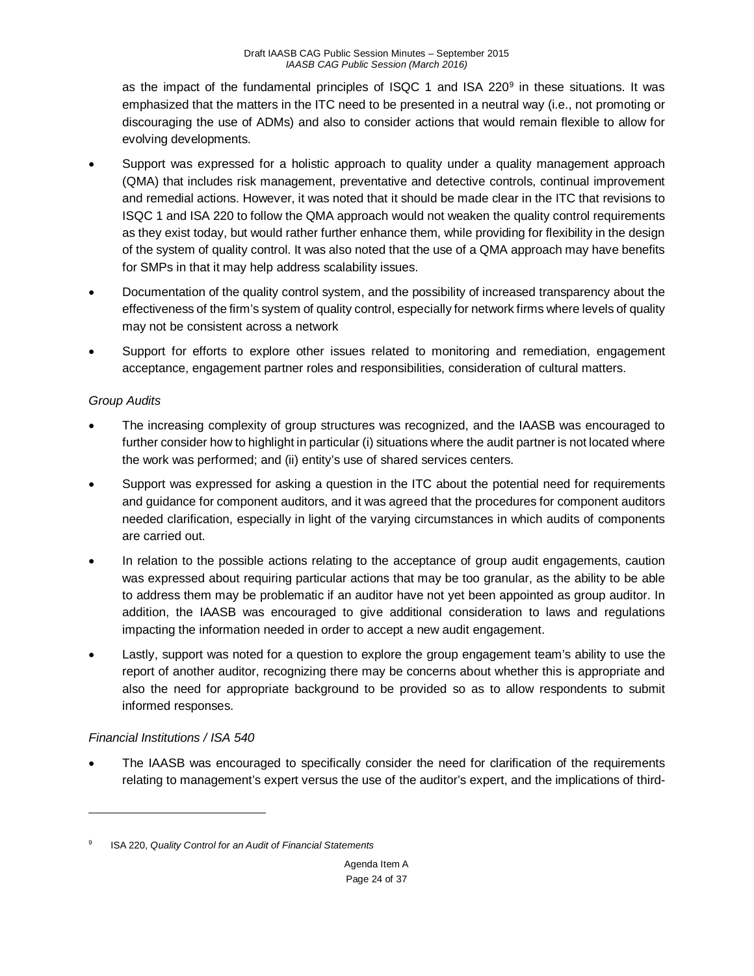as the impact of the fundamental principles of ISQC 1 and ISA 220[9](#page-23-0) in these situations. It was emphasized that the matters in the ITC need to be presented in a neutral way (i.e., not promoting or discouraging the use of ADMs) and also to consider actions that would remain flexible to allow for evolving developments.

- Support was expressed for a holistic approach to quality under a quality management approach (QMA) that includes risk management, preventative and detective controls, continual improvement and remedial actions. However, it was noted that it should be made clear in the ITC that revisions to ISQC 1 and ISA 220 to follow the QMA approach would not weaken the quality control requirements as they exist today, but would rather further enhance them, while providing for flexibility in the design of the system of quality control. It was also noted that the use of a QMA approach may have benefits for SMPs in that it may help address scalability issues.
- Documentation of the quality control system, and the possibility of increased transparency about the effectiveness of the firm's system of quality control, especially for network firms where levels of quality may not be consistent across a network
- Support for efforts to explore other issues related to monitoring and remediation, engagement acceptance, engagement partner roles and responsibilities, consideration of cultural matters.

# *Group Audits*

- The increasing complexity of group structures was recognized, and the IAASB was encouraged to further consider how to highlight in particular (i) situations where the audit partner is not located where the work was performed; and (ii) entity's use of shared services centers.
- Support was expressed for asking a question in the ITC about the potential need for requirements and guidance for component auditors, and it was agreed that the procedures for component auditors needed clarification, especially in light of the varying circumstances in which audits of components are carried out.
- In relation to the possible actions relating to the acceptance of group audit engagements, caution was expressed about requiring particular actions that may be too granular, as the ability to be able to address them may be problematic if an auditor have not yet been appointed as group auditor. In addition, the IAASB was encouraged to give additional consideration to laws and regulations impacting the information needed in order to accept a new audit engagement.
- Lastly, support was noted for a question to explore the group engagement team's ability to use the report of another auditor, recognizing there may be concerns about whether this is appropriate and also the need for appropriate background to be provided so as to allow respondents to submit informed responses.

# *Financial Institutions / ISA 540*

 $\overline{a}$ 

• The IAASB was encouraged to specifically consider the need for clarification of the requirements relating to management's expert versus the use of the auditor's expert, and the implications of third-

<span id="page-23-0"></span><sup>9</sup> ISA 220, *Quality Control for an Audit of Financial Statements*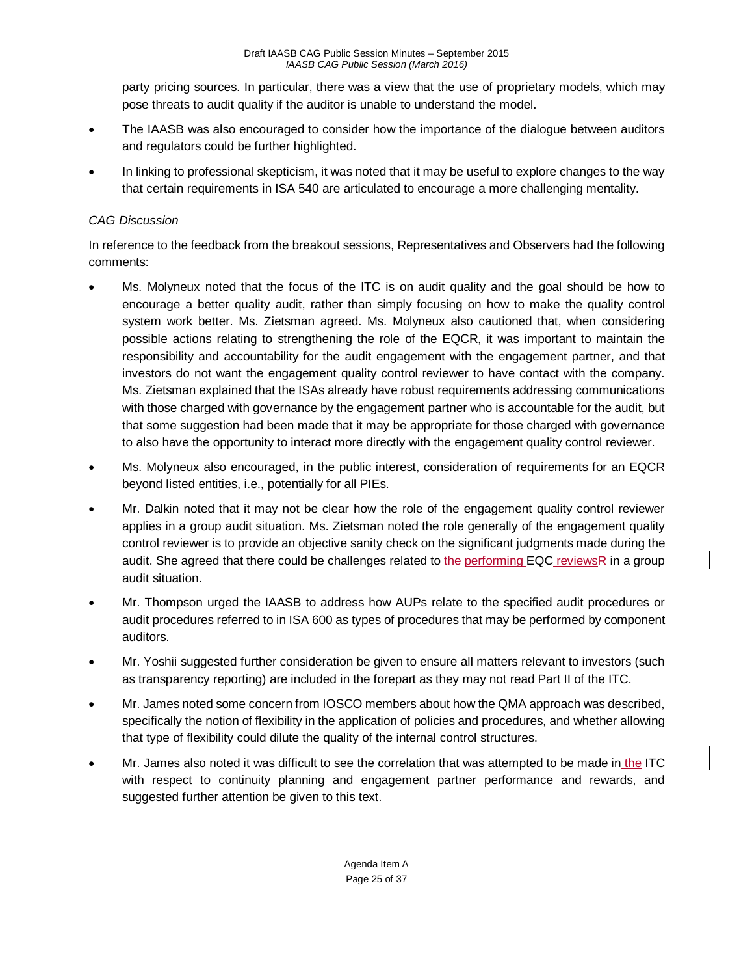party pricing sources. In particular, there was a view that the use of proprietary models, which may pose threats to audit quality if the auditor is unable to understand the model.

- The IAASB was also encouraged to consider how the importance of the dialogue between auditors and regulators could be further highlighted.
- In linking to professional skepticism, it was noted that it may be useful to explore changes to the way that certain requirements in ISA 540 are articulated to encourage a more challenging mentality.

## *CAG Discussion*

In reference to the feedback from the breakout sessions, Representatives and Observers had the following comments:

- Ms. Molyneux noted that the focus of the ITC is on audit quality and the goal should be how to encourage a better quality audit, rather than simply focusing on how to make the quality control system work better. Ms. Zietsman agreed. Ms. Molyneux also cautioned that, when considering possible actions relating to strengthening the role of the EQCR, it was important to maintain the responsibility and accountability for the audit engagement with the engagement partner, and that investors do not want the engagement quality control reviewer to have contact with the company. Ms. Zietsman explained that the ISAs already have robust requirements addressing communications with those charged with governance by the engagement partner who is accountable for the audit, but that some suggestion had been made that it may be appropriate for those charged with governance to also have the opportunity to interact more directly with the engagement quality control reviewer.
- Ms. Molyneux also encouraged, in the public interest, consideration of requirements for an EQCR beyond listed entities, i.e., potentially for all PIEs.
- Mr. Dalkin noted that it may not be clear how the role of the engagement quality control reviewer applies in a group audit situation. Ms. Zietsman noted the role generally of the engagement quality control reviewer is to provide an objective sanity check on the significant judgments made during the audit. She agreed that there could be challenges related to the performing EQC reviewsR in a group audit situation.
- Mr. Thompson urged the IAASB to address how AUPs relate to the specified audit procedures or audit procedures referred to in ISA 600 as types of procedures that may be performed by component auditors.
- Mr. Yoshii suggested further consideration be given to ensure all matters relevant to investors (such as transparency reporting) are included in the forepart as they may not read Part II of the ITC.
- Mr. James noted some concern from IOSCO members about how the QMA approach was described, specifically the notion of flexibility in the application of policies and procedures, and whether allowing that type of flexibility could dilute the quality of the internal control structures.
- Mr. James also noted it was difficult to see the correlation that was attempted to be made in the ITC with respect to continuity planning and engagement partner performance and rewards, and suggested further attention be given to this text.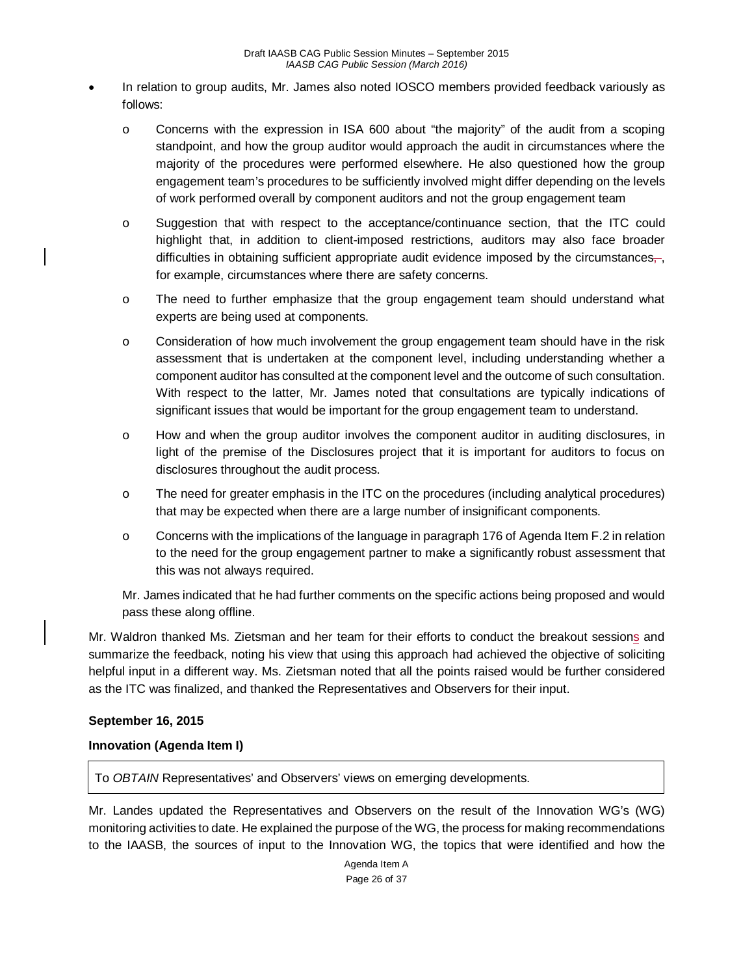- In relation to group audits, Mr. James also noted IOSCO members provided feedback variously as follows:
	- o Concerns with the expression in ISA 600 about "the majority" of the audit from a scoping standpoint, and how the group auditor would approach the audit in circumstances where the majority of the procedures were performed elsewhere. He also questioned how the group engagement team's procedures to be sufficiently involved might differ depending on the levels of work performed overall by component auditors and not the group engagement team
	- o Suggestion that with respect to the acceptance/continuance section, that the ITC could highlight that, in addition to client-imposed restrictions, auditors may also face broader difficulties in obtaining sufficient appropriate audit evidence imposed by the circumstances, for example, circumstances where there are safety concerns.
	- o The need to further emphasize that the group engagement team should understand what experts are being used at components.
	- $\circ$  Consideration of how much involvement the group engagement team should have in the risk assessment that is undertaken at the component level, including understanding whether a component auditor has consulted at the component level and the outcome of such consultation. With respect to the latter, Mr. James noted that consultations are typically indications of significant issues that would be important for the group engagement team to understand.
	- o How and when the group auditor involves the component auditor in auditing disclosures, in light of the premise of the Disclosures project that it is important for auditors to focus on disclosures throughout the audit process.
	- o The need for greater emphasis in the ITC on the procedures (including analytical procedures) that may be expected when there are a large number of insignificant components.
	- o Concerns with the implications of the language in paragraph 176 of Agenda Item F.2 in relation to the need for the group engagement partner to make a significantly robust assessment that this was not always required.

Mr. James indicated that he had further comments on the specific actions being proposed and would pass these along offline.

Mr. Waldron thanked Ms. Zietsman and her team for their efforts to conduct the breakout sessions and summarize the feedback, noting his view that using this approach had achieved the objective of soliciting helpful input in a different way. Ms. Zietsman noted that all the points raised would be further considered as the ITC was finalized, and thanked the Representatives and Observers for their input.

## **September 16, 2015**

## **Innovation (Agenda Item I)**

To *OBTAIN* Representatives' and Observers' views on emerging developments.

Mr. Landes updated the Representatives and Observers on the result of the Innovation WG's (WG) monitoring activities to date. He explained the purpose of the WG, the process for making recommendations to the IAASB, the sources of input to the Innovation WG, the topics that were identified and how the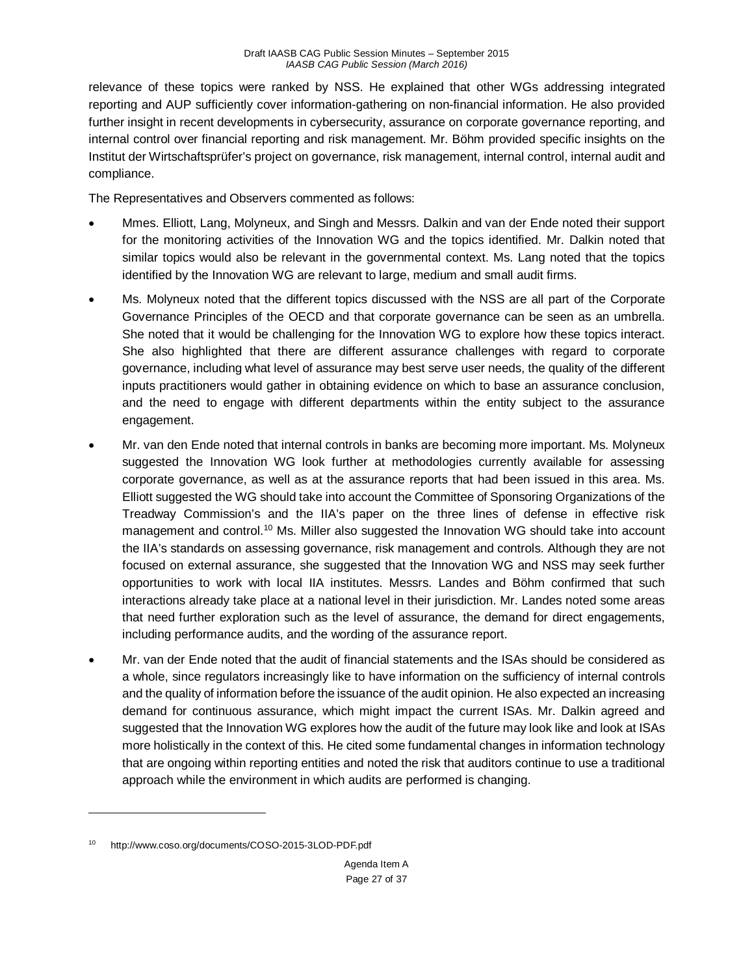relevance of these topics were ranked by NSS. He explained that other WGs addressing integrated reporting and AUP sufficiently cover information-gathering on non-financial information. He also provided further insight in recent developments in cybersecurity, assurance on corporate governance reporting, and internal control over financial reporting and risk management. Mr. Böhm provided specific insights on the Institut der Wirtschaftsprüfer's project on governance, risk management, internal control, internal audit and compliance.

The Representatives and Observers commented as follows:

- Mmes. Elliott, Lang, Molyneux, and Singh and Messrs. Dalkin and van der Ende noted their support for the monitoring activities of the Innovation WG and the topics identified. Mr. Dalkin noted that similar topics would also be relevant in the governmental context. Ms. Lang noted that the topics identified by the Innovation WG are relevant to large, medium and small audit firms.
- Ms. Molyneux noted that the different topics discussed with the NSS are all part of the Corporate Governance Principles of the OECD and that corporate governance can be seen as an umbrella. She noted that it would be challenging for the Innovation WG to explore how these topics interact. She also highlighted that there are different assurance challenges with regard to corporate governance, including what level of assurance may best serve user needs, the quality of the different inputs practitioners would gather in obtaining evidence on which to base an assurance conclusion, and the need to engage with different departments within the entity subject to the assurance engagement.
- Mr. van den Ende noted that internal controls in banks are becoming more important. Ms. Molyneux suggested the Innovation WG look further at methodologies currently available for assessing corporate governance, as well as at the assurance reports that had been issued in this area. Ms. Elliott suggested the WG should take into account the Committee of Sponsoring Organizations of the Treadway Commission's and the IIA's paper on the three lines of defense in effective risk management and control.<sup>10</sup> Ms. Miller also suggested the Innovation WG should take into account the IIA's standards on assessing governance, risk management and controls. Although they are not focused on external assurance, she suggested that the Innovation WG and NSS may seek further opportunities to work with local IIA institutes. Messrs. Landes and Böhm confirmed that such interactions already take place at a national level in their jurisdiction. Mr. Landes noted some areas that need further exploration such as the level of assurance, the demand for direct engagements, including performance audits, and the wording of the assurance report.
- Mr. van der Ende noted that the audit of financial statements and the ISAs should be considered as a whole, since regulators increasingly like to have information on the sufficiency of internal controls and the quality of information before the issuance of the audit opinion. He also expected an increasing demand for continuous assurance, which might impact the current ISAs. Mr. Dalkin agreed and suggested that the Innovation WG explores how the audit of the future may look like and look at ISAs more holistically in the context of this. He cited some fundamental changes in information technology that are ongoing within reporting entities and noted the risk that auditors continue to use a traditional approach while the environment in which audits are performed is changing.

 $\overline{a}$ 

<span id="page-26-0"></span>http://www.coso.org/documents/COSO-2015-3LOD-PDF.pdf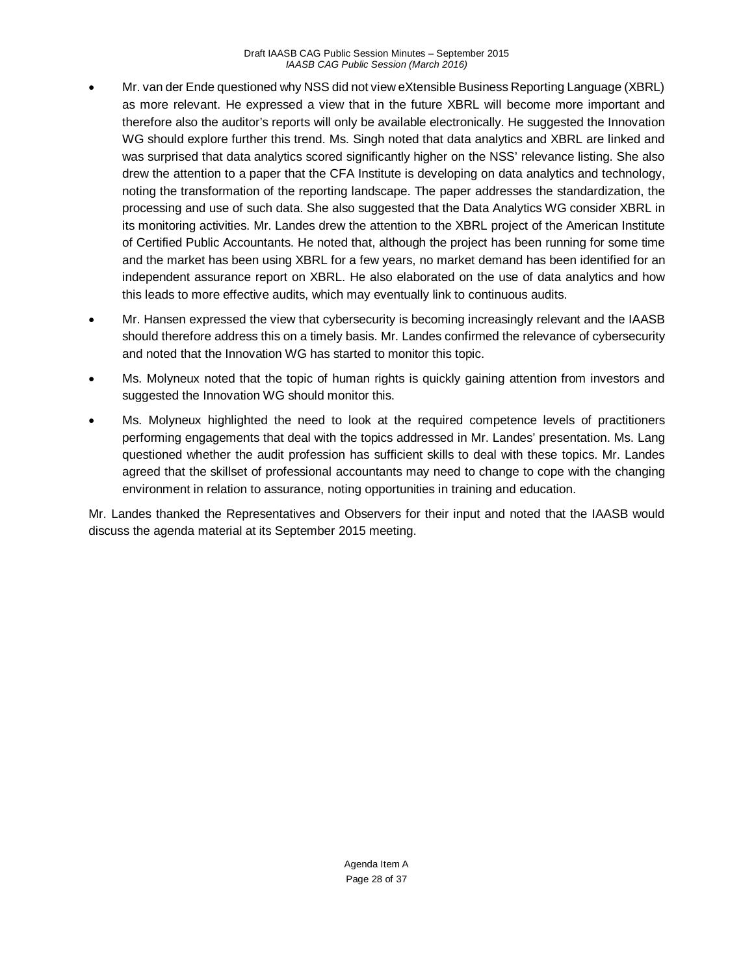- Mr. van der Ende questioned why NSS did not view eXtensible Business Reporting Language (XBRL) as more relevant. He expressed a view that in the future XBRL will become more important and therefore also the auditor's reports will only be available electronically. He suggested the Innovation WG should explore further this trend. Ms. Singh noted that data analytics and XBRL are linked and was surprised that data analytics scored significantly higher on the NSS' relevance listing. She also drew the attention to a paper that the CFA Institute is developing on data analytics and technology, noting the transformation of the reporting landscape. The paper addresses the standardization, the processing and use of such data. She also suggested that the Data Analytics WG consider XBRL in its monitoring activities. Mr. Landes drew the attention to the XBRL project of the American Institute of Certified Public Accountants. He noted that, although the project has been running for some time and the market has been using XBRL for a few years, no market demand has been identified for an independent assurance report on XBRL. He also elaborated on the use of data analytics and how this leads to more effective audits, which may eventually link to continuous audits.
- Mr. Hansen expressed the view that cybersecurity is becoming increasingly relevant and the IAASB should therefore address this on a timely basis. Mr. Landes confirmed the relevance of cybersecurity and noted that the Innovation WG has started to monitor this topic.
- Ms. Molyneux noted that the topic of human rights is quickly gaining attention from investors and suggested the Innovation WG should monitor this.
- Ms. Molyneux highlighted the need to look at the required competence levels of practitioners performing engagements that deal with the topics addressed in Mr. Landes' presentation. Ms. Lang questioned whether the audit profession has sufficient skills to deal with these topics. Mr. Landes agreed that the skillset of professional accountants may need to change to cope with the changing environment in relation to assurance, noting opportunities in training and education.

Mr. Landes thanked the Representatives and Observers for their input and noted that the IAASB would discuss the agenda material at its September 2015 meeting.

> Agenda Item A Page 28 of 37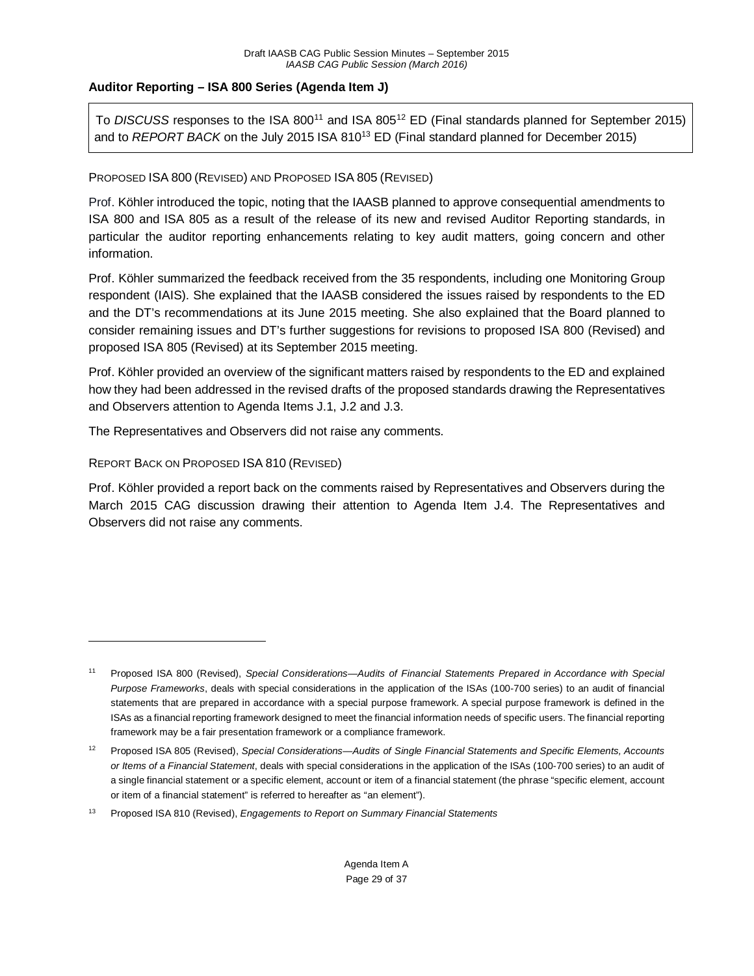## **Auditor Reporting – ISA 800 Series (Agenda Item J)**

To *DISCUSS* responses to the ISA 80[011](#page-28-0) and ISA 805[12](#page-28-1) ED (Final standards planned for September 2015) and to *REPORT BACK* on the July 2015 ISA 810<sup>[13](#page-28-2)</sup> ED (Final standard planned for December 2015)

#### PROPOSED ISA 800 (REVISED) AND PROPOSED ISA 805 (REVISED)

Prof. Köhler introduced the topic, noting that the IAASB planned to approve consequential amendments to ISA 800 and ISA 805 as a result of the release of its new and revised Auditor Reporting standards, in particular the auditor reporting enhancements relating to key audit matters, going concern and other information.

Prof. Köhler summarized the feedback received from the 35 respondents, including one Monitoring Group respondent (IAIS). She explained that the IAASB considered the issues raised by respondents to the ED and the DT's recommendations at its June 2015 meeting. She also explained that the Board planned to consider remaining issues and DT's further suggestions for revisions to proposed ISA 800 (Revised) and proposed ISA 805 (Revised) at its September 2015 meeting.

Prof. Köhler provided an overview of the significant matters raised by respondents to the ED and explained how they had been addressed in the revised drafts of the proposed standards drawing the Representatives and Observers attention to Agenda Items J.1, J.2 and J.3.

The Representatives and Observers did not raise any comments.

#### REPORT BACK ON PROPOSED ISA 810 (REVISED)

 $\overline{a}$ 

Prof. Köhler provided a report back on the comments raised by Representatives and Observers during the March 2015 CAG discussion drawing their attention to Agenda Item J.4. The Representatives and Observers did not raise any comments.

<span id="page-28-0"></span><sup>11</sup> Proposed ISA 800 (Revised), *Special Considerations—Audits of Financial Statements Prepared in Accordance with Special Purpose Frameworks*, deals with special considerations in the application of the ISAs (100-700 series) to an audit of financial statements that are prepared in accordance with a special purpose framework. A special purpose framework is defined in the ISAs as a financial reporting framework designed to meet the financial information needs of specific users. The financial reporting framework may be a fair presentation framework or a compliance framework.

<span id="page-28-1"></span><sup>12</sup> Proposed ISA 805 (Revised), *Special Considerations—Audits of Single Financial Statements and Specific Elements, Accounts or Items of a Financial Statement*, deals with special considerations in the application of the ISAs (100-700 series) to an audit of a single financial statement or a specific element, account or item of a financial statement (the phrase "specific element, account or item of a financial statement" is referred to hereafter as "an element").

<span id="page-28-2"></span><sup>13</sup> Proposed ISA 810 (Revised), *Engagements to Report on Summary Financial Statements*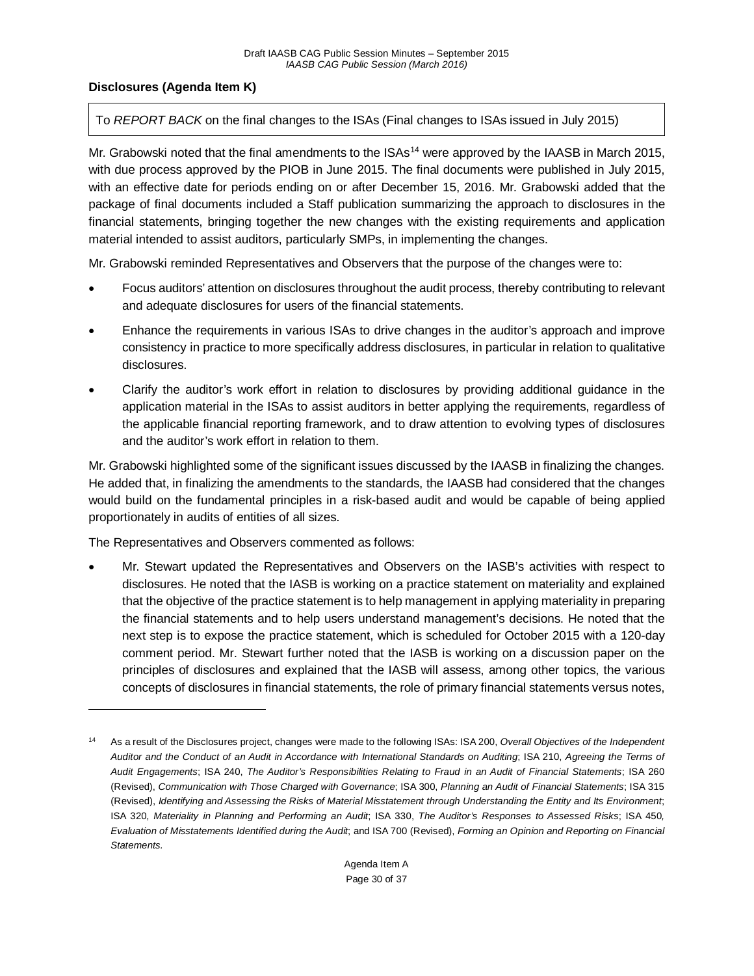## **Disclosures (Agenda Item K)**

#### To *REPORT BACK* on the final changes to the ISAs (Final changes to ISAs issued in July 2015)

Mr. Grabowski noted that the final amendments to the ISAs<sup>[14](#page-29-0)</sup> were approved by the IAASB in March 2015, with due process approved by the PIOB in June 2015. The final documents were published in July 2015, with an effective date for periods ending on or after December 15, 2016. Mr. Grabowski added that the package of final documents included a Staff publication summarizing the approach to disclosures in the financial statements, bringing together the new changes with the existing requirements and application material intended to assist auditors, particularly SMPs, in implementing the changes.

Mr. Grabowski reminded Representatives and Observers that the purpose of the changes were to:

- Focus auditors' attention on disclosures throughout the audit process, thereby contributing to relevant and adequate disclosures for users of the financial statements.
- Enhance the requirements in various ISAs to drive changes in the auditor's approach and improve consistency in practice to more specifically address disclosures, in particular in relation to qualitative disclosures.
- Clarify the auditor's work effort in relation to disclosures by providing additional guidance in the application material in the ISAs to assist auditors in better applying the requirements, regardless of the applicable financial reporting framework, and to draw attention to evolving types of disclosures and the auditor's work effort in relation to them.

Mr. Grabowski highlighted some of the significant issues discussed by the IAASB in finalizing the changes. He added that, in finalizing the amendments to the standards, the IAASB had considered that the changes would build on the fundamental principles in a risk-based audit and would be capable of being applied proportionately in audits of entities of all sizes.

The Representatives and Observers commented as follows:

 $\overline{a}$ 

• Mr. Stewart updated the Representatives and Observers on the IASB's activities with respect to disclosures. He noted that the IASB is working on a practice statement on materiality and explained that the objective of the practice statement is to help management in applying materiality in preparing the financial statements and to help users understand management's decisions. He noted that the next step is to expose the practice statement, which is scheduled for October 2015 with a 120-day comment period. Mr. Stewart further noted that the IASB is working on a discussion paper on the principles of disclosures and explained that the IASB will assess, among other topics, the various concepts of disclosures in financial statements, the role of primary financial statements versus notes,

<span id="page-29-0"></span><sup>14</sup> As a result of the Disclosures project, changes were made to the following ISAs: ISA 200, *Overall Objectives of the Independent Auditor and the Conduct of an Audit in Accordance with International Standards on Auditing*; ISA 210, *Agreeing the Terms of Audit Engagements*; ISA 240, *The Auditor's Responsibilities Relating to Fraud in an Audit of Financial Statements*; ISA 260 (Revised), *Communication with Those Charged with Governance*; ISA 300, *Planning an Audit of Financial Statements*; ISA 315 (Revised), *Identifying and Assessing the Risks of Material Misstatement through Understanding the Entity and Its Environment*; ISA 320, *Materiality in Planning and Performing an Audit*; ISA 330, *The Auditor's Responses to Assessed Risks*; ISA 450*, Evaluation of Misstatements Identified during the Audit*; and ISA 700 (Revised), *Forming an Opinion and Reporting on Financial Statements.*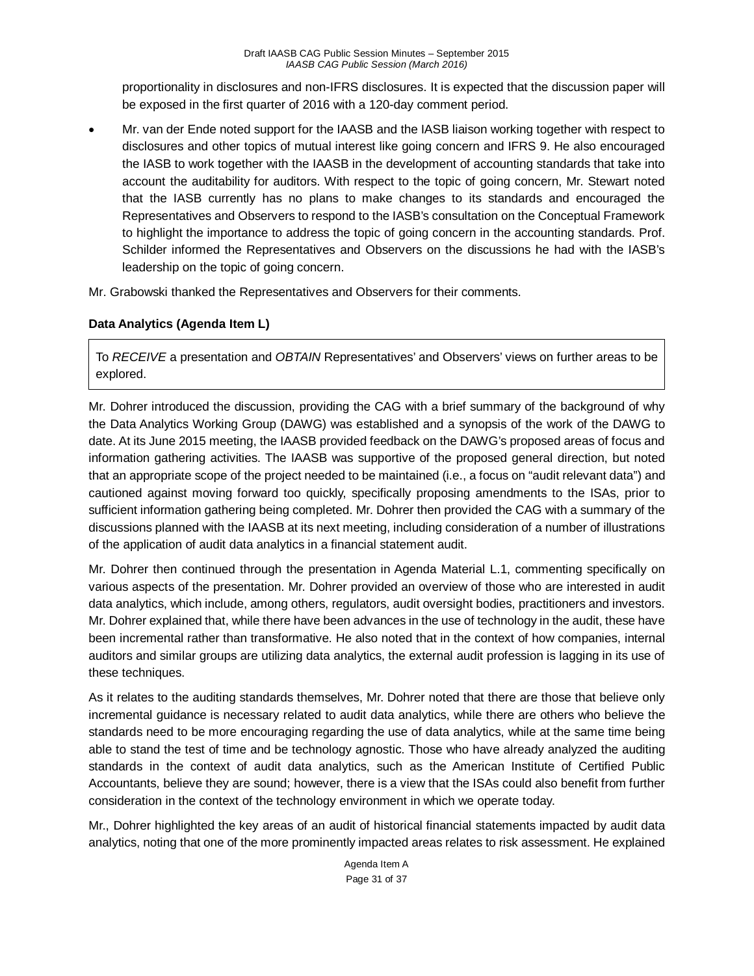proportionality in disclosures and non-IFRS disclosures. It is expected that the discussion paper will be exposed in the first quarter of 2016 with a 120-day comment period.

• Mr. van der Ende noted support for the IAASB and the IASB liaison working together with respect to disclosures and other topics of mutual interest like going concern and IFRS 9. He also encouraged the IASB to work together with the IAASB in the development of accounting standards that take into account the auditability for auditors. With respect to the topic of going concern, Mr. Stewart noted that the IASB currently has no plans to make changes to its standards and encouraged the Representatives and Observers to respond to the IASB's consultation on the Conceptual Framework to highlight the importance to address the topic of going concern in the accounting standards. Prof. Schilder informed the Representatives and Observers on the discussions he had with the IASB's leadership on the topic of going concern.

Mr. Grabowski thanked the Representatives and Observers for their comments.

## **Data Analytics (Agenda Item L)**

To *RECEIVE* a presentation and *OBTAIN* Representatives' and Observers' views on further areas to be explored.

Mr. Dohrer introduced the discussion, providing the CAG with a brief summary of the background of why the Data Analytics Working Group (DAWG) was established and a synopsis of the work of the DAWG to date. At its June 2015 meeting, the IAASB provided feedback on the DAWG's proposed areas of focus and information gathering activities. The IAASB was supportive of the proposed general direction, but noted that an appropriate scope of the project needed to be maintained (i.e., a focus on "audit relevant data") and cautioned against moving forward too quickly, specifically proposing amendments to the ISAs, prior to sufficient information gathering being completed. Mr. Dohrer then provided the CAG with a summary of the discussions planned with the IAASB at its next meeting, including consideration of a number of illustrations of the application of audit data analytics in a financial statement audit.

Mr. Dohrer then continued through the presentation in Agenda Material L.1, commenting specifically on various aspects of the presentation. Mr. Dohrer provided an overview of those who are interested in audit data analytics, which include, among others, regulators, audit oversight bodies, practitioners and investors. Mr. Dohrer explained that, while there have been advances in the use of technology in the audit, these have been incremental rather than transformative. He also noted that in the context of how companies, internal auditors and similar groups are utilizing data analytics, the external audit profession is lagging in its use of these techniques.

As it relates to the auditing standards themselves, Mr. Dohrer noted that there are those that believe only incremental guidance is necessary related to audit data analytics, while there are others who believe the standards need to be more encouraging regarding the use of data analytics, while at the same time being able to stand the test of time and be technology agnostic. Those who have already analyzed the auditing standards in the context of audit data analytics, such as the American Institute of Certified Public Accountants, believe they are sound; however, there is a view that the ISAs could also benefit from further consideration in the context of the technology environment in which we operate today.

Mr., Dohrer highlighted the key areas of an audit of historical financial statements impacted by audit data analytics, noting that one of the more prominently impacted areas relates to risk assessment. He explained

> Agenda Item A Page 31 of 37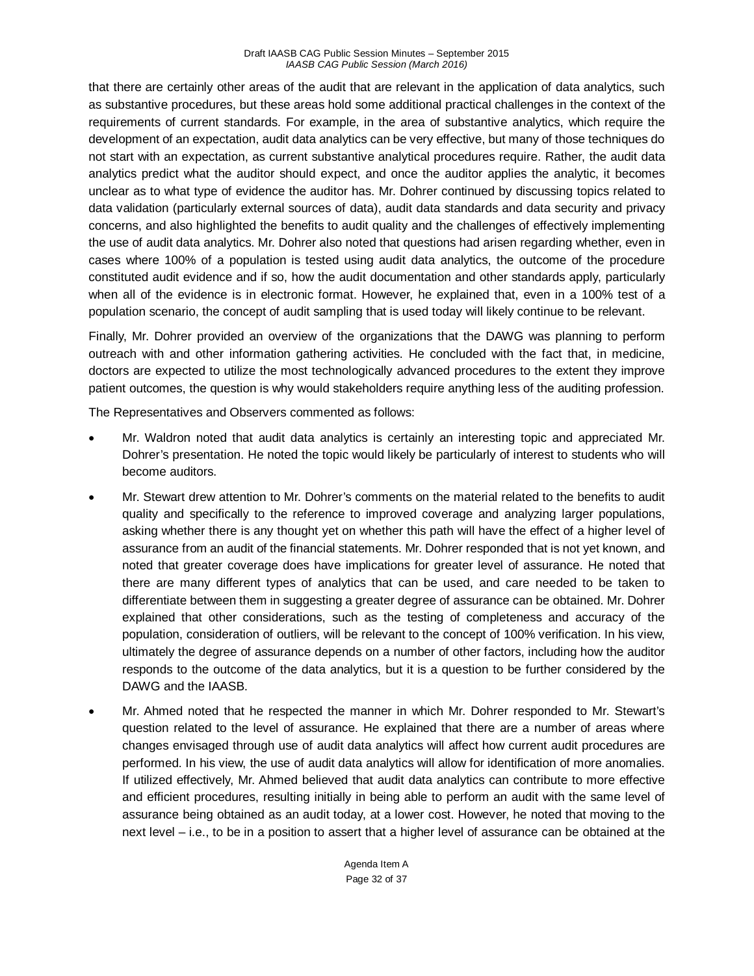that there are certainly other areas of the audit that are relevant in the application of data analytics, such as substantive procedures, but these areas hold some additional practical challenges in the context of the requirements of current standards. For example, in the area of substantive analytics, which require the development of an expectation, audit data analytics can be very effective, but many of those techniques do not start with an expectation, as current substantive analytical procedures require. Rather, the audit data analytics predict what the auditor should expect, and once the auditor applies the analytic, it becomes unclear as to what type of evidence the auditor has. Mr. Dohrer continued by discussing topics related to data validation (particularly external sources of data), audit data standards and data security and privacy concerns, and also highlighted the benefits to audit quality and the challenges of effectively implementing the use of audit data analytics. Mr. Dohrer also noted that questions had arisen regarding whether, even in cases where 100% of a population is tested using audit data analytics, the outcome of the procedure constituted audit evidence and if so, how the audit documentation and other standards apply, particularly when all of the evidence is in electronic format. However, he explained that, even in a 100% test of a population scenario, the concept of audit sampling that is used today will likely continue to be relevant.

Finally, Mr. Dohrer provided an overview of the organizations that the DAWG was planning to perform outreach with and other information gathering activities. He concluded with the fact that, in medicine, doctors are expected to utilize the most technologically advanced procedures to the extent they improve patient outcomes, the question is why would stakeholders require anything less of the auditing profession.

The Representatives and Observers commented as follows:

- Mr. Waldron noted that audit data analytics is certainly an interesting topic and appreciated Mr. Dohrer's presentation. He noted the topic would likely be particularly of interest to students who will become auditors.
- Mr. Stewart drew attention to Mr. Dohrer's comments on the material related to the benefits to audit quality and specifically to the reference to improved coverage and analyzing larger populations, asking whether there is any thought yet on whether this path will have the effect of a higher level of assurance from an audit of the financial statements. Mr. Dohrer responded that is not yet known, and noted that greater coverage does have implications for greater level of assurance. He noted that there are many different types of analytics that can be used, and care needed to be taken to differentiate between them in suggesting a greater degree of assurance can be obtained. Mr. Dohrer explained that other considerations, such as the testing of completeness and accuracy of the population, consideration of outliers, will be relevant to the concept of 100% verification. In his view, ultimately the degree of assurance depends on a number of other factors, including how the auditor responds to the outcome of the data analytics, but it is a question to be further considered by the DAWG and the IAASB.
- Mr. Ahmed noted that he respected the manner in which Mr. Dohrer responded to Mr. Stewart's question related to the level of assurance. He explained that there are a number of areas where changes envisaged through use of audit data analytics will affect how current audit procedures are performed. In his view, the use of audit data analytics will allow for identification of more anomalies. If utilized effectively, Mr. Ahmed believed that audit data analytics can contribute to more effective and efficient procedures, resulting initially in being able to perform an audit with the same level of assurance being obtained as an audit today, at a lower cost. However, he noted that moving to the next level – i.e., to be in a position to assert that a higher level of assurance can be obtained at the

Agenda Item A Page 32 of 37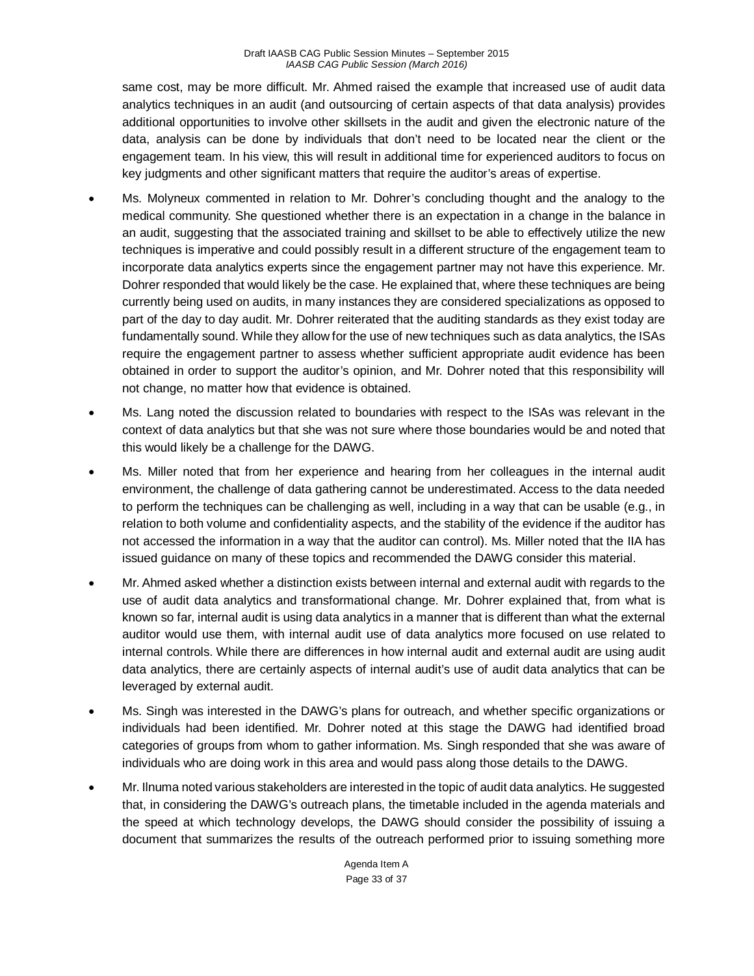same cost, may be more difficult. Mr. Ahmed raised the example that increased use of audit data analytics techniques in an audit (and outsourcing of certain aspects of that data analysis) provides additional opportunities to involve other skillsets in the audit and given the electronic nature of the data, analysis can be done by individuals that don't need to be located near the client or the engagement team. In his view, this will result in additional time for experienced auditors to focus on key judgments and other significant matters that require the auditor's areas of expertise.

- Ms. Molyneux commented in relation to Mr. Dohrer's concluding thought and the analogy to the medical community. She questioned whether there is an expectation in a change in the balance in an audit, suggesting that the associated training and skillset to be able to effectively utilize the new techniques is imperative and could possibly result in a different structure of the engagement team to incorporate data analytics experts since the engagement partner may not have this experience. Mr. Dohrer responded that would likely be the case. He explained that, where these techniques are being currently being used on audits, in many instances they are considered specializations as opposed to part of the day to day audit. Mr. Dohrer reiterated that the auditing standards as they exist today are fundamentally sound. While they allow for the use of new techniques such as data analytics, the ISAs require the engagement partner to assess whether sufficient appropriate audit evidence has been obtained in order to support the auditor's opinion, and Mr. Dohrer noted that this responsibility will not change, no matter how that evidence is obtained.
- Ms. Lang noted the discussion related to boundaries with respect to the ISAs was relevant in the context of data analytics but that she was not sure where those boundaries would be and noted that this would likely be a challenge for the DAWG.
- Ms. Miller noted that from her experience and hearing from her colleagues in the internal audit environment, the challenge of data gathering cannot be underestimated. Access to the data needed to perform the techniques can be challenging as well, including in a way that can be usable (e.g., in relation to both volume and confidentiality aspects, and the stability of the evidence if the auditor has not accessed the information in a way that the auditor can control). Ms. Miller noted that the IIA has issued guidance on many of these topics and recommended the DAWG consider this material.
- Mr. Ahmed asked whether a distinction exists between internal and external audit with regards to the use of audit data analytics and transformational change. Mr. Dohrer explained that, from what is known so far, internal audit is using data analytics in a manner that is different than what the external auditor would use them, with internal audit use of data analytics more focused on use related to internal controls. While there are differences in how internal audit and external audit are using audit data analytics, there are certainly aspects of internal audit's use of audit data analytics that can be leveraged by external audit.
- Ms. Singh was interested in the DAWG's plans for outreach, and whether specific organizations or individuals had been identified. Mr. Dohrer noted at this stage the DAWG had identified broad categories of groups from whom to gather information. Ms. Singh responded that she was aware of individuals who are doing work in this area and would pass along those details to the DAWG.
- Mr. Ilnuma noted various stakeholders are interested in the topic of audit data analytics. He suggested that, in considering the DAWG's outreach plans, the timetable included in the agenda materials and the speed at which technology develops, the DAWG should consider the possibility of issuing a document that summarizes the results of the outreach performed prior to issuing something more

Agenda Item A Page 33 of 37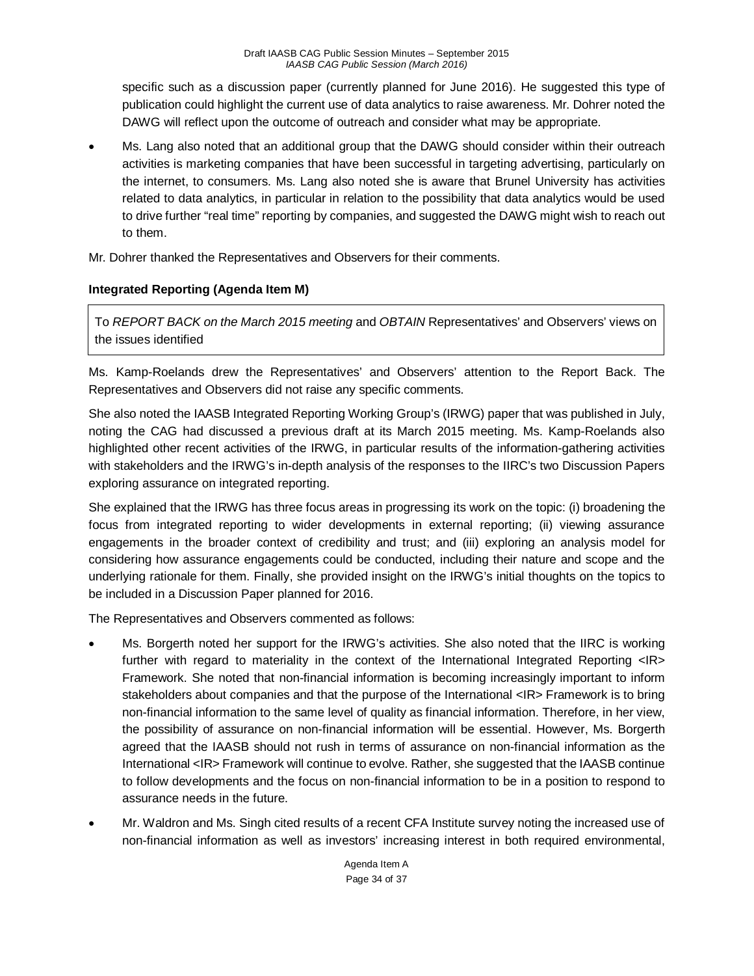specific such as a discussion paper (currently planned for June 2016). He suggested this type of publication could highlight the current use of data analytics to raise awareness. Mr. Dohrer noted the DAWG will reflect upon the outcome of outreach and consider what may be appropriate.

• Ms. Lang also noted that an additional group that the DAWG should consider within their outreach activities is marketing companies that have been successful in targeting advertising, particularly on the internet, to consumers. Ms. Lang also noted she is aware that Brunel University has activities related to data analytics, in particular in relation to the possibility that data analytics would be used to drive further "real time" reporting by companies, and suggested the DAWG might wish to reach out to them.

Mr. Dohrer thanked the Representatives and Observers for their comments.

## **Integrated Reporting (Agenda Item M)**

To *REPORT BACK on the March 2015 meeting* and *OBTAIN* Representatives' and Observers' views on the issues identified

Ms. Kamp-Roelands drew the Representatives' and Observers' attention to the Report Back. The Representatives and Observers did not raise any specific comments.

She also noted the IAASB Integrated Reporting Working Group's (IRWG) paper that was published in July, noting the CAG had discussed a previous draft at its March 2015 meeting. Ms. Kamp-Roelands also highlighted other recent activities of the IRWG, in particular results of the information-gathering activities with stakeholders and the IRWG's in-depth analysis of the responses to the IIRC's two Discussion Papers exploring assurance on integrated reporting.

She explained that the IRWG has three focus areas in progressing its work on the topic: (i) broadening the focus from integrated reporting to wider developments in external reporting; (ii) viewing assurance engagements in the broader context of credibility and trust; and (iii) exploring an analysis model for considering how assurance engagements could be conducted, including their nature and scope and the underlying rationale for them. Finally, she provided insight on the IRWG's initial thoughts on the topics to be included in a Discussion Paper planned for 2016.

The Representatives and Observers commented as follows:

- Ms. Borgerth noted her support for the IRWG's activities. She also noted that the IIRC is working further with regard to materiality in the context of the International Integrated Reporting <IR> Framework. She noted that non-financial information is becoming increasingly important to inform stakeholders about companies and that the purpose of the International <IR> Framework is to bring non-financial information to the same level of quality as financial information. Therefore, in her view, the possibility of assurance on non-financial information will be essential. However, Ms. Borgerth agreed that the IAASB should not rush in terms of assurance on non-financial information as the International <IR> Framework will continue to evolve. Rather, she suggested that the IAASB continue to follow developments and the focus on non-financial information to be in a position to respond to assurance needs in the future.
- Mr. Waldron and Ms. Singh cited results of a recent CFA Institute survey noting the increased use of non-financial information as well as investors' increasing interest in both required environmental,

Agenda Item A Page 34 of 37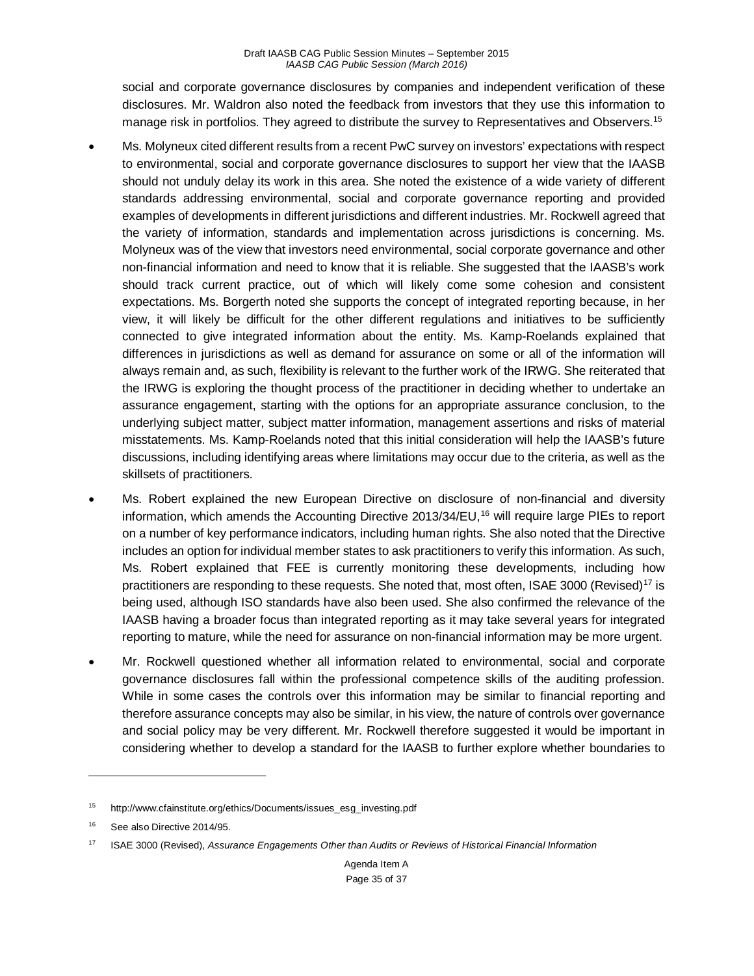social and corporate governance disclosures by companies and independent verification of these disclosures. Mr. Waldron also noted the feedback from investors that they use this information to manage risk in portfolios. They agreed to distribute the survey to Representatives and Observers.<sup>[15](#page-34-0)</sup>

- Ms. Molyneux cited different results from a recent PwC survey on investors' expectations with respect to environmental, social and corporate governance disclosures to support her view that the IAASB should not unduly delay its work in this area. She noted the existence of a wide variety of different standards addressing environmental, social and corporate governance reporting and provided examples of developments in different jurisdictions and different industries. Mr. Rockwell agreed that the variety of information, standards and implementation across jurisdictions is concerning. Ms. Molyneux was of the view that investors need environmental, social corporate governance and other non-financial information and need to know that it is reliable. She suggested that the IAASB's work should track current practice, out of which will likely come some cohesion and consistent expectations. Ms. Borgerth noted she supports the concept of integrated reporting because, in her view, it will likely be difficult for the other different regulations and initiatives to be sufficiently connected to give integrated information about the entity. Ms. Kamp-Roelands explained that differences in jurisdictions as well as demand for assurance on some or all of the information will always remain and, as such, flexibility is relevant to the further work of the IRWG. She reiterated that the IRWG is exploring the thought process of the practitioner in deciding whether to undertake an assurance engagement, starting with the options for an appropriate assurance conclusion, to the underlying subject matter, subject matter information, management assertions and risks of material misstatements. Ms. Kamp-Roelands noted that this initial consideration will help the IAASB's future discussions, including identifying areas where limitations may occur due to the criteria, as well as the skillsets of practitioners.
- Ms. Robert explained the new European Directive on disclosure of non-financial and diversity information, which amends the Accounting Directive 2013/34/EU[,16](#page-34-1) will require large PIEs to report on a number of key performance indicators, including human rights. She also noted that the Directive includes an option for individual member states to ask practitioners to verify this information. As such, Ms. Robert explained that FEE is currently monitoring these developments, including how practitioners are responding to these requests. She noted that, most often, ISAE 3000 (Revised)<sup>[17](#page-34-2)</sup> is being used, although ISO standards have also been used. She also confirmed the relevance of the IAASB having a broader focus than integrated reporting as it may take several years for integrated reporting to mature, while the need for assurance on non-financial information may be more urgent.
- Mr. Rockwell questioned whether all information related to environmental, social and corporate governance disclosures fall within the professional competence skills of the auditing profession. While in some cases the controls over this information may be similar to financial reporting and therefore assurance concepts may also be similar, in his view, the nature of controls over governance and social policy may be very different. Mr. Rockwell therefore suggested it would be important in considering whether to develop a standard for the IAASB to further explore whether boundaries to

 $\overline{a}$ 

<span id="page-34-0"></span><sup>15</sup> [http://www.cfainstitute.org/ethics/Documents/issues\\_esg\\_investing.pdf](http://www.cfainstitute.org/ethics/Documents/issues_esg_investing.pdf)

<span id="page-34-1"></span><sup>16</sup> See als[o Directive 2014/95.](http://eur-lex.europa.eu/legal-content/EN/TXT/?uri=CELEX:32014L0095)

<span id="page-34-2"></span><sup>17</sup> ISAE 3000 (Revised), *Assurance Engagements Other than Audits or Reviews of Historical Financial Information*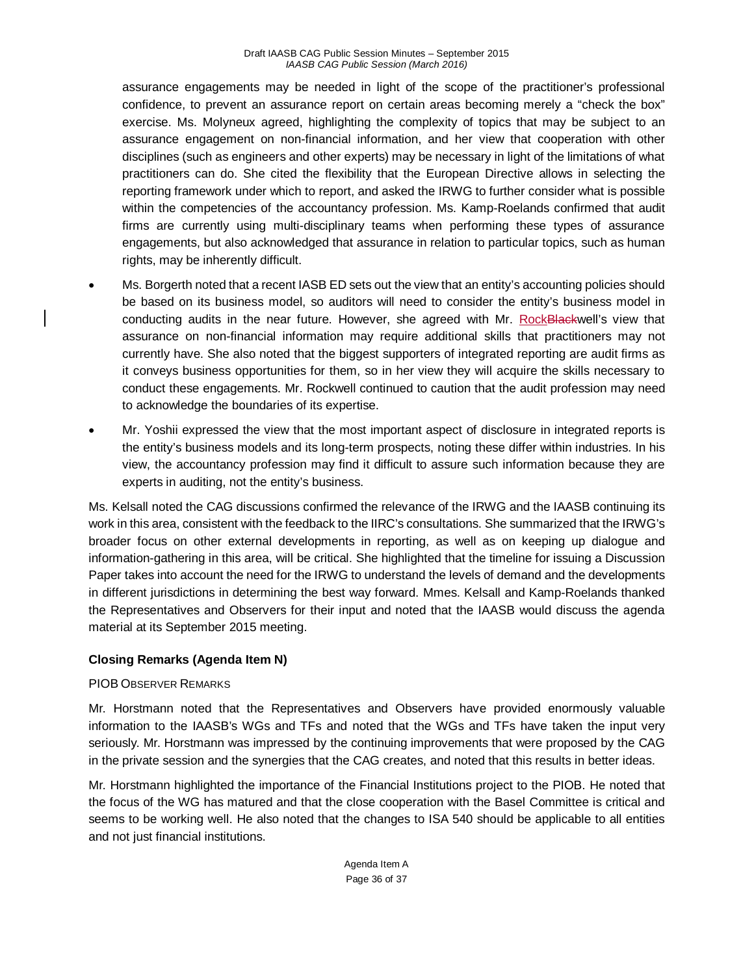assurance engagements may be needed in light of the scope of the practitioner's professional confidence, to prevent an assurance report on certain areas becoming merely a "check the box" exercise. Ms. Molyneux agreed, highlighting the complexity of topics that may be subject to an assurance engagement on non-financial information, and her view that cooperation with other disciplines (such as engineers and other experts) may be necessary in light of the limitations of what practitioners can do. She cited the flexibility that the European Directive allows in selecting the reporting framework under which to report, and asked the IRWG to further consider what is possible within the competencies of the accountancy profession. Ms. Kamp-Roelands confirmed that audit firms are currently using multi-disciplinary teams when performing these types of assurance engagements, but also acknowledged that assurance in relation to particular topics, such as human rights, may be inherently difficult.

- Ms. Borgerth noted that a recent IASB ED sets out the view that an entity's accounting policies should be based on its business model, so auditors will need to consider the entity's business model in conducting audits in the near future. However, she agreed with Mr. RockBlackwell's view that assurance on non-financial information may require additional skills that practitioners may not currently have. She also noted that the biggest supporters of integrated reporting are audit firms as it conveys business opportunities for them, so in her view they will acquire the skills necessary to conduct these engagements. Mr. Rockwell continued to caution that the audit profession may need to acknowledge the boundaries of its expertise.
- Mr. Yoshii expressed the view that the most important aspect of disclosure in integrated reports is the entity's business models and its long-term prospects, noting these differ within industries. In his view, the accountancy profession may find it difficult to assure such information because they are experts in auditing, not the entity's business.

Ms. Kelsall noted the CAG discussions confirmed the relevance of the IRWG and the IAASB continuing its work in this area, consistent with the feedback to the IIRC's consultations. She summarized that the IRWG's broader focus on other external developments in reporting, as well as on keeping up dialogue and information-gathering in this area, will be critical. She highlighted that the timeline for issuing a Discussion Paper takes into account the need for the IRWG to understand the levels of demand and the developments in different jurisdictions in determining the best way forward. Mmes. Kelsall and Kamp-Roelands thanked the Representatives and Observers for their input and noted that the IAASB would discuss the agenda material at its September 2015 meeting.

## **Closing Remarks (Agenda Item N)**

## PIOB OBSERVER REMARKS

Mr. Horstmann noted that the Representatives and Observers have provided enormously valuable information to the IAASB's WGs and TFs and noted that the WGs and TFs have taken the input very seriously. Mr. Horstmann was impressed by the continuing improvements that were proposed by the CAG in the private session and the synergies that the CAG creates, and noted that this results in better ideas.

Mr. Horstmann highlighted the importance of the Financial Institutions project to the PIOB. He noted that the focus of the WG has matured and that the close cooperation with the Basel Committee is critical and seems to be working well. He also noted that the changes to ISA 540 should be applicable to all entities and not just financial institutions.